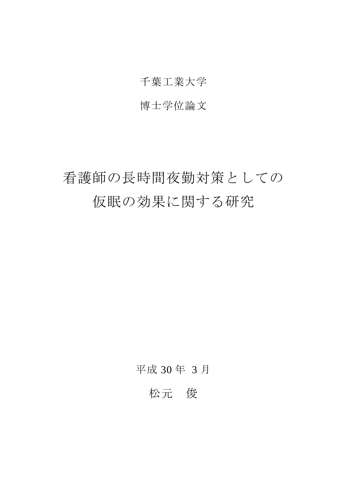### 千葉工業大学

### 博士学位論文

# 看護師の長時間夜勤対策としての 仮眠の効果に関する研究

### 平成 30 年 3 月

## 松元 俊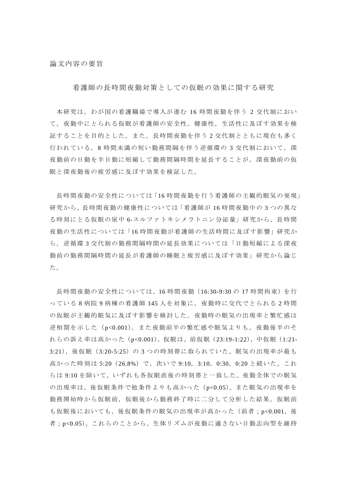論文内容の要旨

看護師の長時間夜勤対策としての仮眠の効果に関する研究

本研究は,わが国の看護職場で導入が進む 16 時間夜勤を伴う 2 交代制におい て,夜勤中にとられる仮眠が看護師の安全性,健康性,生活性に及ぼす効果を検 証することを目的とした。また,長時間夜勤を伴う 2 交代制とともに現在も多く 行われている,8 時間未満の短い勤務間隔を伴う逆循環の 3 交代制において,深 夜勤前の日勤を半日勤に短縮して勤務間隔時間を延長することが,深夜勤前の仮 眠と深夜勤後の疲労感に及ぼす効果を検証した。

長時間夜勤の安全性については「16 時間夜勤を行う看護師の主観的眠気の発現」 研究から,長時間夜勤の健康性については「看護師が 16 時間夜勤中の 3 つの異な る時刻にとる仮眠の尿中 6-スルファトキシメラトニン分泌量」研究から,長時間 夜勤の生活性については「16 時間夜勤が看護師の生活時間に及ぼす影響」研究か ら,逆循環 3 交代制の勤務間隔時間の延長効果については「日勤短縮による深夜 勤前の勤務間隔時間の延長が看護師の睡眠と疲労感に及ぼす効果」研究から論じ た。

長時間夜勤の安全性については,16 時間夜勤(16:30-9:30 の 17 時間拘束)を行 っている 8 病院 9 病棟の看護師 145 人を対象に,夜勤時に交代でとられる 2 時間 の仮眠が主観的眠気に及ぼす影響を検討した。夜勤時の眠気の出現率と繁忙感は 逆相関を示した(p<0.001)。また夜勤前半の繁忙感や眠気よりも,夜勤後半のそ れらの訴え率は高かった(p<0.001)。仮眠は,前仮眠(23:19-1:22),中仮眠(1:21- 3:21), 後仮眠 (3:20-5:25) の 3 つの時刻帯に取られていた。眠気の出現率が最も 高かった時刻は 5:20 (26.8%)で,次いで 9:10, 3:10, 0:30, 0:20 と続いた。これ らは 9:10 を除いて,いずれも各仮眠直後の時刻帯と一致した。夜勤全体での眠気 の出現率は,後仮眠条件で他条件よりも高かった(p<0.05)。また眠気の出現率を 勤務開始時から仮眠前,仮眠後から勤務終了時に二分して分析した結果,仮眠前 も仮眠後においても,後仮眠条件の眠気の出現率が高かった(前者;p<0.001,後 者;p<0.05)。これらのことから,生体リズムが夜勤に適さない日勤志向型を維持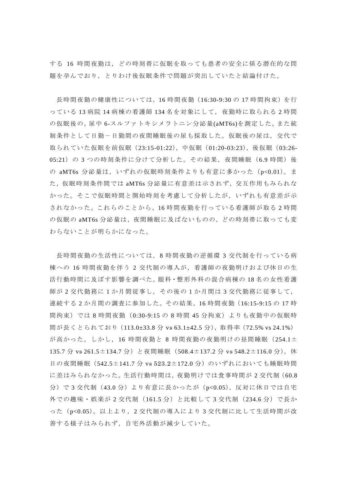する 16 時間夜勤は,どの時刻帯に仮眠を取っても患者の安全に係る潜在的な問 題を孕んでおり,とりわけ後仮眠条件で問題が突出していたと結論付けた。

長時間夜勤の健康性については, 16 時間夜勤 (16:30-9:30 の 17 時間拘束) を行 っている 13 病院 14 病棟の看護師 134 名を対象にして,夜勤時に取られる 2 時間 の仮眠後の,尿中 6-スルファトキシメラトニン分泌量(aMT6s)を測定した。また統 制条件として日勤ー日勤間の夜間睡眠後の尿も採取した。仮眠後の尿は、交代で 取られていた仮眠を前仮眠(23:15-01:22),中仮眠(01:20-03:23),後仮眠(03:26- 05:21)の 3 つの時刻条件に分けて分析した。その結果,夜間睡眠(6.9 時間)後 の aMT6s 分泌量は, いずれの仮眠時刻条件よりも有意に多かった (p<0.01)。ま た,仮眠時刻条件間では aMT6s 分泌量に有意差は示されず,交互作用もみられな かった。そこで仮眠時間と開始時刻を考慮して分析したが,いずれも有意差が示 されなかった。これらのことから,16 時間夜勤を行っている看護師が取る 2 時間 の仮眠の aMT6s 分泌量は、夜間睡眠に及ばないものの、どの時刻帯に取っても変 わらないことが明らかになった。

長時間夜勤の生活性については,8 時間夜勤の逆循環 3 交代制を行っている病 棟への 16 時間夜勤を伴う 2 交代制の導入が,看護師の夜勤明けおよび休日の生 活行動時間に及ぼす影響を調べた。眼科・整形外科の混合病棟の 18 名の女性看護 師が 2 交代勤務に 1 か月間従事し,その後の 1 か月間は 3 交代勤務に従事して, 連続する 2 か月間の調査に参加した。その結果,16 時間夜勤(16:15-9:15 の 17 時 間拘束)では 8 時間夜勤(0:30-9:15 の 8 時間 45 分拘束)よりも夜勤中の仮眠時 間が長くとられており(113.0±33.8 分 vs 63.1±42.5 分),取得率(72.5% vs 24.1%) が高かった。しかし,16 時間夜勤と 8 時間夜勤の夜勤明けの昼間睡眠(254.1± 135.7 分 vs 261.5±134.7 分)と夜間睡眠(508.4±137.2 分 vs 548.2±116.0 分),休 日の夜間睡眠 (542.5±141.7 分 vs 523.2±172.0 分)のいずれにおいても睡眠時間 に差はみられなかった。生活行動時間は,夜勤明けでは食事時間が 2 交代制(60.8 分)で3交代制(43.0分)より有意に長かったが (p<0.05), 反対に休日では自宅 外での趣味・娯楽が 2 交代制 (161.5 分) と比較して 3 交代制 (234.6 分) で長か った(p<0.05)。以上より,2 交代制の導入により 3 交代制に比して生活時間が改 善する様子はみられず,自宅外活動が減少していた。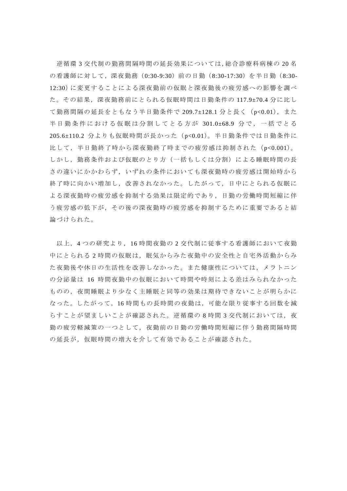逆循環 3 交代制の勤務間隔時間の延長効果については,総合診療科病棟の 20 名 の看護師に対して,深夜勤務(0:30-9:30)前の日勤(8:30-17:30)を半日勤(8:30- 12:30)に変更することによる深夜勤前の仮眠と深夜勤後の疲労感への影響を調べ た。その結果,深夜勤務前にとられる仮眠時間は日勤条件の 117.9±70.4 分に比し て勤務間隔の延長をともなう半日勤条件で 209.7±128.1 分と長く(p<0.01),また 半日勤条件における仮眠は分割してとる方が 301.0±68.9 分で,一括でとる 205.6±110.2 分よりも仮眠時間が長かった(p<0.01)。半日勤条件では日勤条件に 比して,半日勤終了時から深夜勤終了時までの疲労感は抑制された(p<0.001)。 しかし,勤務条件および仮眠のとり方(一括もしくは分割)による睡眠時間の長 さの違いにかかわらず,いずれの条件においても深夜勤時の疲労感は開始時から 終了時に向かい増加し,改善されなかった。したがって,日中にとられる仮眠に よる深夜勤時の疲労感を抑制する効果は限定的であり,日勤の労働時間短縮に伴 う疲労感の低下が,その後の深夜勤時の疲労感を抑制するために重要であると結 論づけられた。

以上,4 つの研究より,16 時間夜勤の 2 交代制に従事する看護師において夜勤 中にとられる2時間の仮眠は,眠気からみた夜勤中の安全性と自宅外活動からみ た夜勤後や休日の生活性を改善しなかった。また健康性については,メラトニン の分泌量は 16 時間夜勤中の仮眠において時間や時刻による差はみられなかった ものの,夜間睡眠より少なく主睡眠と同等の効果は期待できないことが明らかに なった。したがって,16 時間もの長時間の夜勤は,可能な限り従事する回数を減 らすことが望ましいことが確認された。逆循環の8時間3交代制においては,夜 勤の疲労軽減策の一つとして,夜勤前の日勤の労働時間短縮に伴う勤務間隔時間 の延長が、仮眠時間の増大を介して有効であることが確認された。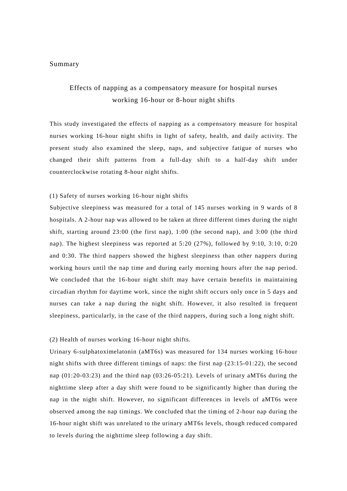#### Summary

### Effects of napping as a compensatory measure for hospital nurses working 16-hour or 8-hour night shifts

This study investigated the effects of napping as a compensatory measure for hospital nurses working 16-hour night shifts in light of safety, health, and daily activity. The present study also examined the sleep, naps, and subjective fatigue of nurses who changed their shift patterns from a full-day shift to a half-day shift under counterclockwise rotating 8-hour night shifts.

#### (1) Safety of nurses working 16-hour night shifts

Subjective sleepiness was measured for a total of 145 nurses working in 9 wards of 8 hospitals. A 2-hour nap was allowed to be taken at three different times during the night shift, starting around 23:00 (the first nap), 1:00 (the second nap), and 3:00 (the third nap). The highest sleepiness was reported at 5:20 (27%), followed by 9:10, 3:10, 0:20 and 0:30. The third nappers showed the highest sleepiness than other nappers during working hours until the nap time and during early morning hours after the nap period. We concluded that the 16-hour night shift may have certain benefits in maintaining circadian rhythm for daytime work, since the night shift occurs only once in 5 days and nurses can take a nap during the night shift. However, it also resulted in frequent sleepiness, particularly, in the case of the third nappers, during such a long night shift.

#### (2) Health of nurses working 16-hour night shifts.

Urinary 6-sulphatoximelatonin (aMT6s) was measured for 134 nurses working 16-hour night shifts with three different timings of naps: the first nap (23:15-01:22), the second nap (01:20-03:23) and the third nap (03:26-05:21). Levels of urinary aMT6s during the nighttime sleep after a day shift were found to be significantly higher than during the nap in the night shift. However, no significant differences in levels of aMT6s were observed among the nap timings. We concluded that the timing of 2-hour nap during the 16-hour night shift was unrelated to the urinary aMT6s levels, though reduced compared to levels during the nighttime sleep following a day shift.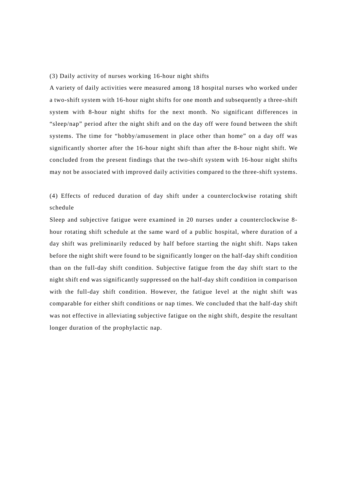#### (3) Daily activity of nurses working 16-hour night shifts

A variety of daily activities were measured among 18 hospital nurses who worked under a two-shift system with 16-hour night shifts for one month and subsequently a three-shift system with 8-hour night shifts for the next month. No significant differences in "sleep/nap" period after the night shift and on the day off were found between the shift systems. The time for "hobby/amusement in place other than home" on a day off was significantly shorter after the 16-hour night shift than after the 8-hour night shift. We concluded from the present findings that the two-shift system with 16-hour night shifts may not be associated with improved daily activities compared to the three-shift systems.

(4) Effects of reduced duration of day shift under a counterclockwise rotating shift schedule

Sleep and subjective fatigue were examined in 20 nurses under a counterclockwise 8 hour rotating shift schedule at the same ward of a public hospital, where duration of a day shift was preliminarily reduced by half before starting the night shift. Naps taken before the night shift were found to be significantly longer on the half-day shift condition than on the full-day shift condition. Subjective fatigue from the day shift start to the night shift end was significantly suppressed on the half-day shift condition in comparison with the full-day shift condition. However, the fatigue level at the night shift was comparable for either shift conditions or nap times. We concluded that the half-day shift was not effective in alleviating subjective fatigue on the night shift, despite the resultant longer duration of the prophylactic nap.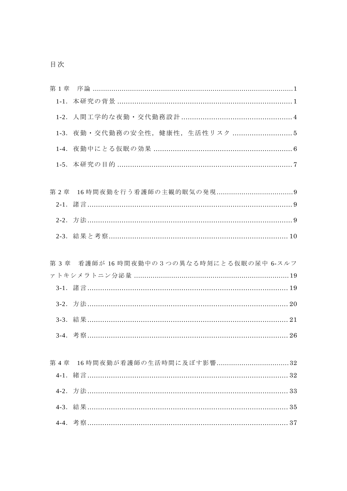| 第1章       |                                         |
|-----------|-----------------------------------------|
| $1 - 1$ . |                                         |
|           |                                         |
| $1-3.$    |                                         |
| $1-4.$    |                                         |
|           |                                         |
|           |                                         |
| 第2章       |                                         |
|           |                                         |
|           |                                         |
|           |                                         |
|           |                                         |
|           | 第3章 看護師が 16時間夜勤中の3つの異なる時刻にとる仮眠の尿中 6-スルフ |
|           |                                         |
|           |                                         |
|           |                                         |
|           |                                         |
|           |                                         |
|           |                                         |
|           |                                         |
| 第4章       |                                         |
|           |                                         |
|           |                                         |
|           |                                         |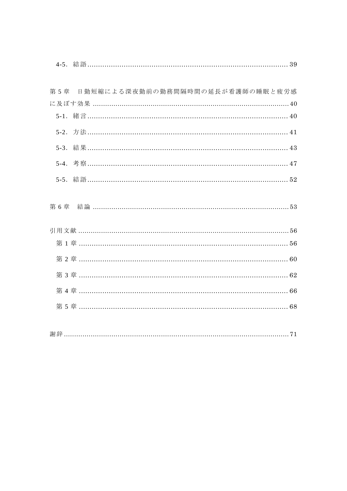| 第 5 章 | 日勤短縮による深夜勤前の勤務間隔時間の延長が看護師の睡眠と疲労感          |
|-------|-------------------------------------------|
|       |                                           |
|       |                                           |
|       |                                           |
|       |                                           |
|       |                                           |
|       |                                           |
| 第6章   |                                           |
|       | 引用文献 …………………………………………………………………………………………56 |
|       |                                           |
|       |                                           |
|       |                                           |
|       |                                           |
|       |                                           |
|       |                                           |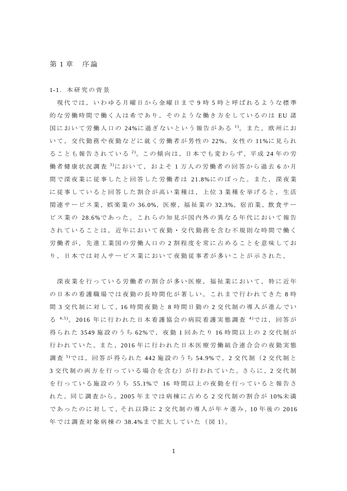#### 第 1 章 序論

1-1.本研究の背景

現代では,いわゆる月曜日から金曜日まで 9 時 5 時と呼ばれるような標準 的な労働時間で働く人は希であり,そのような働き方をしているのは EU 諸 国において労働人口の 24%に過ぎないという報告がある <sup>1)</sup>。また,欧州にお いて,交代勤務や夜勤などに就く労働者が男性の 22%,女性の 11%に見られ ることも報告されている 2 )。この傾向は,日本でも変わらず,平成 24 年の労 働者健康状況調査 3において,およそ1万人の労働者の回答から過去6か月 間で深夜業に従事したと回答した労働者は 21.8%にのぼった。また,深夜業 に従事していると回答した割合が高い業種は,上位 3 業種を挙げると,生活 関連サービス業,娯楽業の 36.0%,医療,福祉業の 32.3%,宿泊業,飲食サー ビス業の 28.6%であった。これらの知見が国内外の異なる年代において報告 されていることは,近年において夜勤・交代勤務を含む不規則な時間で働く 労働者が,先進工業国の労働人口の 2 割程度を常に占めることを意味してお り,日本では対人サービス業において夜勤従事者が多いことが示された。

深夜業を行っている労働者の割合が多い医療,福祉業において,特に近年 の日本の看護職場では夜勤の長時間化が著しい。これまで行われてきた 8 時 間 3 交代制に対して,16 時間夜勤と 8 時間日勤の 2 交代制の導入が進んでい る 4,5)。2016年に行われた日本看護協会の病院看護実態調査 4)では、回答が 得られた 3549 施設のうち 62%で,夜勤 1 回あたり 16 時間以上の 2 交代制が 行われていた。また,2016 年に行われた日本医療労働組合連合会の夜勤実態 調査<sup>5</sup>)では,回答が得られた 442 施設のうち 54.9%で, 2 交代制(2 交代制と 3 交代制の両方を行っている場合を含む)が行われていた。さらに, 2 交代制 を行っている施設のうち 55.1%で 16 時間以上の夜勤を行っていると報告さ れた。同じ調査から,2005 年までは病棟に占める 2 交代制の割合が 10%未 満 で あ っ た の に 対 し て ,そ れ 以 降 に 2 交代制の導入が年々進み,10 年後の 2016 年では調査対象病棟の 38.4%まで拡大していた(図 1)。

1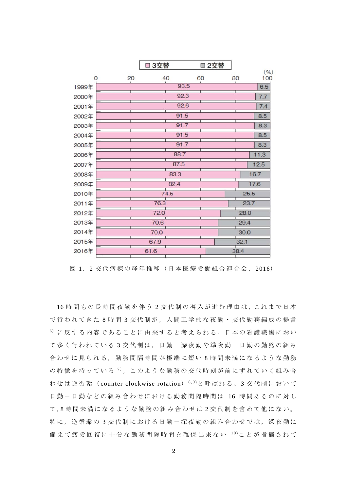|          |    | □ 3交替 |      | ■2交替 |    |            |
|----------|----|-------|------|------|----|------------|
| $\Omega$ | 20 |       | 40   | 60   | 80 | (9)<br>100 |
| 1999年    |    |       | 93.5 |      |    | 6.5        |
| 2000年    |    |       | 92.3 |      |    | 7.7        |
| 2001年    |    |       | 92.6 |      |    | 7.4        |
| 2002年    |    |       | 91.5 |      |    | 8.5        |
| 2003年    |    |       | 91.7 |      |    | 8.3        |
| 2004年    |    |       | 91.5 |      |    | 8.5        |
| 2005年    |    |       | 91.7 |      |    | 8.3        |
| 2006年    |    |       | 88.7 |      |    | 11.3       |
| 2007年    |    |       | 87.5 |      |    | 12.5       |
| 2008年    |    |       | 83.3 |      |    | 16.7       |
| 2009年    |    |       | 82.4 |      |    | 17.6       |
| 2010年    |    |       | 74.5 |      |    | 25.5       |
| 2011年    |    | 76.3  |      |      |    | 23.7       |
| 2012年    |    | 72.0  |      |      |    | 28.0       |
| 2013年    |    | 70.6  |      |      |    | 29.4       |
| 2014年    |    | 70.0  |      |      |    | 30.0       |
| 2015年    |    | 67.9  |      |      |    | 32.1       |
| 2016年    |    | 61.6  |      |      |    | 38.4       |

図 1. 2 交代病棟の経年推移(日本医療労働組合連合会, 2016)

16 時間もの長時間夜勤を伴う2交代制の導入が進む理由は、これまで日本 で行われてきた8時間3交代制が、人間工学的な夜勤·交代勤務編成の提言 <sup>6</sup>) に反する内容であることに由来すると考えられる。日本の看護職場におい て多く行われている3交代制は、日勤ー深夜勤や準夜勤ー日勤の勤務の組み 合わせに見られる,勤務間隔時間が極端に短い 8 時間未満になるような勤務 の特徴を持っている<sup>7</sup>。このような勤務の交代時刻が前にずれていく組み合 わせは逆循環( counter clockwise rotation) 8,9)と呼ばれる。 3 交代制において 日勤-日勤などの組み合わせにおける勤務間隔時間は 16 時間あるのに対し て ,8 時間未満になるような勤務の組み合わせは 2 交代制を含めて他にない。 特に,逆循環の3交代制における日勤-深夜勤の組み合わせでは,深夜勤に 備えて疲労回復に十分な勤務間隔時間を確保出来ない 10)ことが指摘されて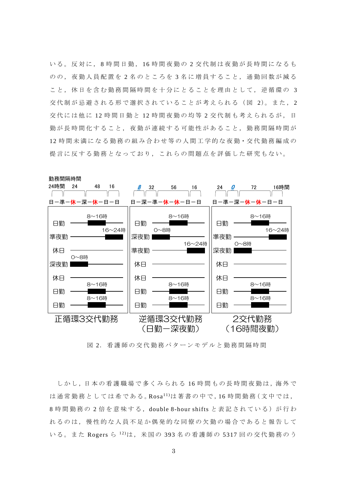いる。反対に, 8 時間日勤, 16 時間夜勤の 2 交代制は夜勤が長時間になるも のの,夜勤人員配置を 2 名のところを 3 名に増員すること,通勤回数が減る こと,休日を含む勤務間隔時間を十分にとることを理由として,逆循環の 3 交代制が忌避される形で選択されていることが考えられる(図 2)。また, 2 交代には他に 12 時間日勤と 12 時間夜勤の均等 2 交代制も考えられるが, 日 勤が長時間化すること,夜勤が連続する可能性があること,勤務間隔時間が 12 時間未満になる勤務の組み合わせ等の人間工学的な夜勤・交代勤務編成の 提言に反する勤務となっており,これらの問題点を評価した研究もない。



図 2. 看護師の交代勤務パターンモデルと勤務間隔時間

しかし、日本の看護職場で多くみられる 16時間もの長時間夜勤は、海外で は通常勤務としては希である。Rosa $^{11)}$ は著書の中で, 16 時間勤務(文中では, 8 時間勤務の 2 倍を意味する,double 8-hour shifts と表記されている)が行わ れるのは,慢性的な人員不足か偶発的な同僚の欠勤の場合であると報告して いる。また Rogers ら 12)は,米国の 393 名の看護師の 5317 回の交代勤務のう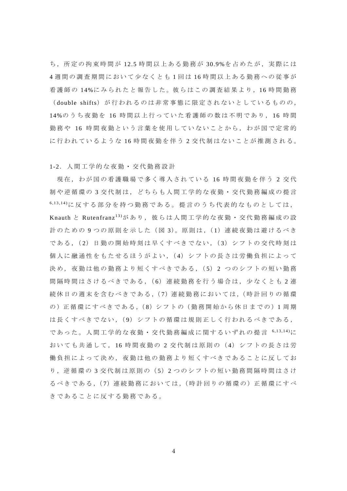ち,所定の拘束時間が12.5 時間以上ある勤務が30.9%を占めたが、実際には 4 週間の調査期間において少なくとも 1 回 は 16 時間以上ある勤務への従事が 看護師の 14%に みら れたと 報 告した 。彼 らはこ の 調査結 果 より,16 時間勤務 (double shifts) が行われるのは非常事態に限定されないとしているものの, 14%のうち夜勤を 16 時間以上行っていた看護師の数は不明であり, 16 時 間 勤務や 16 時間夜勤という言葉を使用していないことから,わが国で定常的 に行われているような 16 時間夜勤を伴う 2 交代制はないことが推測される。

1-2.人間工学的な夜勤・交代勤務設計

現在,わが国の看護職場で多く導入されている 16 時間夜勤を伴う 2 交代 制や逆循環の 3 交代制は,どちらも人間工学的な夜勤・交代勤務編成の提言 6,13,14)に反する部分を持つ勤務である。提言のうち代表的なものとしては, Knauth と Rutenfranz 13)があり,彼らは人間工学的な夜勤・交代勤務編成の設 計のための9つの原則を示した(図 3)。原則は,(1)連続夜勤は避けるべき である,( 2)日勤の開始時刻は早くすべきでない,( 3)シフトの交代時刻は 個人に融通性をもたせるほうがよい,( 4)シフトの長さは労働負担によって 決め,夜勤は他の勤務より短くすべきである,( 5) 2 つのシフトの短い勤務 間隔時間はさけるべきである, (6) 連続勤務を行う場合は, 少なくとも 2 連 続休日の週末を含むべきである, (7) 連続勤務においては, (時計回りの循環 の)正循環にすべきである, (8) シフトの (勤務開始から休日までの)1周期 は長くすべきでない,(9)シフトの循環は規則正しく行われるべきである, であった。人間工学的な夜勤・交代勤務編成に関するいずれの提言 6,13,14)に おいても共通して, 16 時間夜勤の 2 交代制は原則の( 4)シフトの長さは労 働負担によって決め,夜勤は他の勤務より短くすべきであることに反してお り,逆循環の 3 交代制は原則の( 5)2 つのシフトの短い勤務間隔時間はさけ るべきである,( 7)連続勤務においては,(時計回りの循環の)正循環にすべ きであることに反する勤務である。

4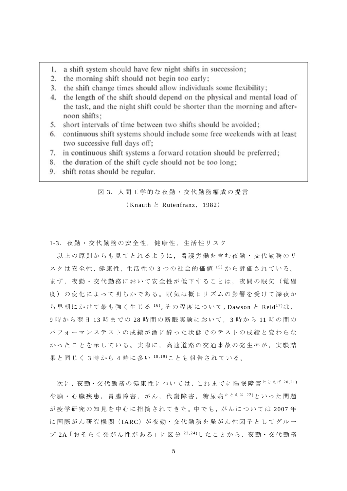- 1. a shift system should have few night shifts in succession;
- 2. the morning shift should not begin too early;
- 3. the shift change times should allow individuals some flexibility;
- 4. the length of the shift should depend on the physical and mental load of the task, and the night shift could be shorter than the morning and afternoon shifts:
- 5. short intervals of time between two shifts should be avoided:
- 6. continuous shift systems should include some free weekends with at least two successive full days off;
- 7. in continuous shift systems a forward rotation should be preferred;
- 8. the duration of the shift cycle should not be too long;
- 9. shift rotas should be regular.

図 3. 人間工学的な夜勤・交代勤務編成の提言

 $(Knauth \geq Rutenfranz, 1982)$ 

1-3.夜勤・交代勤務の安全性,健康性,生活性リスク

 以上の原則からも見てとれるように,看護労働を含む夜勤・交代勤務のリ スクは安全性,健康性,生活性の3つの社会的価値 15)から評価されている。 まず, 夜勤・交代勤務において安全性が低下することは, 夜間の眠気(覚醒 度)の変化によって明らかである。眠気は概日リズムの影響を受けて深夜か ら早朝にかけて最も強く生じる $16$ )。その程度について,Dawson と Reid $17$ )は, 9 時から翌日 13 時までの 28 時間の断眠実験において, 3 時から 11 時の間の パフォーマンステストの成績が酒に酔った状態でのテストの成績と変わらな かったことを示している。実際に、高速道路の交通事故の発生率が、実験結 果と同じく 3 時から 4 時に多い 18,19)ことも報告されている。

次に, 夜勤·交代勤務の健康性については,これまでに睡眠障害 $\hbar$ とえば 20,21) や脳・心臓疾患,胃腸障害,がん,代謝障害,糖尿病
たとえば 22)といった問題 が疫学研究の知見を中心に指摘されてきた。中でも、がんについては 2007年 に国際がん研究機関(IARC)が夜勤·交代勤務を発がん性因子としてグルー プ 2A「おそらく発がん性がある」に区分  $^{23,24)}$ したことから、夜勤・交代勤務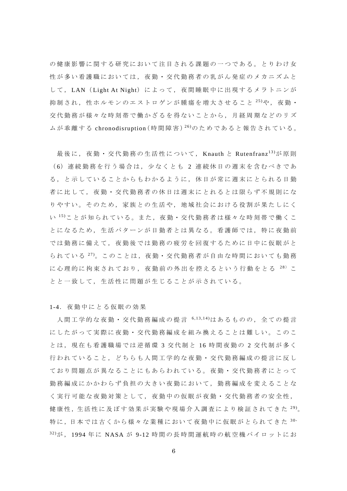の健康影響に関する研究において注目される課題の一つである。とりわけ女 性が多い看護職においては,夜勤・交代勤務者の乳がん発症のメカニズムと して, LAN (Light At Night)によって, 夜間睡眠中に出現するメラトニンが 抑制され,性ホルモンのエストロゲンが腫瘍を増大させること<sup>25)</sup>や,夜勤· 交代勤務が様々な時刻帯で働かざるを得ないことから,月経周期などのリズ ムが乖離する chronodisruption (時間障害) <sup>26</sup>)のためであると報告されている。

最後に, 夜勤·交代勤務の生活性について, Knauth と Rutenfranz<sup>13)</sup>が原則 ( 6)連続勤務を行う場合は,少なくとも 2 連続休日の週末を含むべきであ る,と示していることからもわかるように,休日が常に週末にとられる日勤 者に比して,夜勤・交代勤務者の休日は週末にとれるとは限らず不規則にな りやすい。そのため,家族との生活や,地域社会における役割が果たしにく い 15)ことが知られている。また,夜勤·交代勤務者は様々な時刻帯で働くこ とになるため,生活パターンが日勤者とは異なる。看護師では,特に夜勤前 では勤務に備えて,夜勤後では勤務の疲労を回復するために日中に仮眠がと られている  $^{27)}$ 。このことは, 夜勤・交代勤務者が自由な時間においても勤務 に心理的に拘束されており,夜勤前の外出を控えるという行動をとる<sup>28</sup> とと一致して,生活性に問題が生じることが示されている。

1-4.夜勤中にとる仮眠の効果

人間工学的な夜勤・交代勤務編成の提言 6,13,14)はあるものの,全ての提言 にしたがって実際に夜勤・交代勤務編成を組み換えることは難しい。このこ とは,現在も看護職場では逆循環 3 交代制と 16 時間夜勤の 2 交代制が多く 行われていること,どちらも人間工学的な夜勤・交代勤務編成の提言に反し ており問題点が異なることにもあらわれている。夜勤・交代勤務者にとって 勤務編成にかかわらず負担の大きい夜勤において,勤務編成を変えることな く実行可能な夜勤対策として,夜勤中の仮眠が夜勤・交代勤務者の安全性, 健康性,生活性に及ぼす効果が実験や現場介入調査により検証されてきた<sup>29)</sup>。 特に,日本では古くから様々な業種において夜勤中に仮眠がとられてきた $30-$ 32)が , 1994 年 に NASA が 9-12 時間の長時間運航時の航空機パイロットにお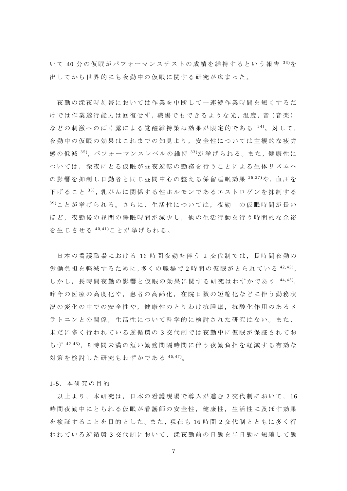い て 40 分の仮眠がパフォーマンステストの成績を維持するという報告 33)を 出してから世界的にも夜勤中の仮眠に関する研究が広まった。

 夜勤の深夜時刻帯においては作業を中断して一連続作業時間を短くするだ けでは作業遂行能力は回復せず, 職場でもできるような光, 温度, 音 (音楽) などの刺激へのばく露による覚醒維持策は効果が限定的である  $34$ )。対して, 夜勤中の仮眠の効果はこれまでの知見より,安全性については主観的な疲労 感の低減 <sup>35)</sup>, パフォーマンスレベルの維持 <sup>33)</sup>が挙げられる。また, 健康性に ついては,深夜にとる仮眠が昼夜逆転の勤務を行うことによる生体リズムへ の影響を抑制し日勤者と同じ昼間中心の整える係留睡眠効果  $36,37$ )や、血圧を 下げること <sup>38</sup>, 乳がんに関係する性ホルモンであるエストロゲンを抑制する 39)ことが挙げられる。さらに,生活性については,夜勤中の仮眠時間が長い ほど,夜勤後の昼間の睡眠時間が減少し,他の生活行動を行う時間的な余裕 を生じさせる 40,41)ことが挙げられる。

 日本の看護職場における 16 時間夜勤を伴う 2 交代制では,長時間夜勤の 労働負担を軽減するために,多くの職場で 2 時間の仮眠がとられている 42,43)。 しかし,長時間夜勤の影響と仮眠の効果に関する研究はわずかであり 44,45), 昨今の医療の高度化や,患者の高齢化,在院日数の短縮化などに伴う勤務状 況の変化の中での安全性や,健康性のとりわけ抗腫瘍,抗酸化作用のあるメ ラトニンとの関係,生活性について科学的に検討された研究はない。また, 未だに多く行われている逆循環の 3 交代制では夜勤中に仮眠が保証されてお らず  $42,43$ ), 8 時間未満の短い勤務間隔時間に伴う夜勤負担を軽減する有効な 対策を検討した研究もわずかである 46,47)。

1-5.本研究の目的

以上より,本研究は,日本の看護現場で導入が進む2 交代制において, 16 時間夜勤中にとられる仮眠が看護師の安全性,健康性,生活性に及ぼす効果 を検証することを目的とした。また、現在も16時間2交代制とともに多く行 われている逆循環 3 交代制において,深夜勤前の日勤を半日勤に短縮して勤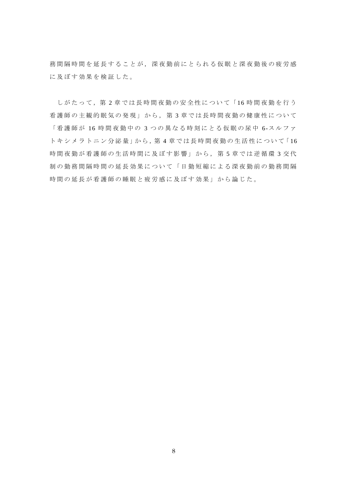務間隔時間を延長することが,深夜勤前にとられる仮眠と深夜勤後の疲労感 に及ぼす効果を検証した。

しがたって,第 2 章では長時間夜勤の安全性について「 16 時間夜勤を行う 看護師の主観的眠気の発現」から,第 3 章では長時間夜勤の健康性について 「看護師が 16 時間夜勤中の 3 つの異なる時刻にとる仮眠の尿中 6-スルファ トキシメラトニン分泌量」から, 第4章では長時間夜勤の生活性について「16 時間夜勤が看護師の生活時間に及ぼす影響」から、第5章では逆循環3 交代 制の勤務間隔時間の延長効果について「日勤短縮による深夜勤前の勤務間隔 時間の延長が看護師の睡眠と疲労感に及ぼす効果」から論じた。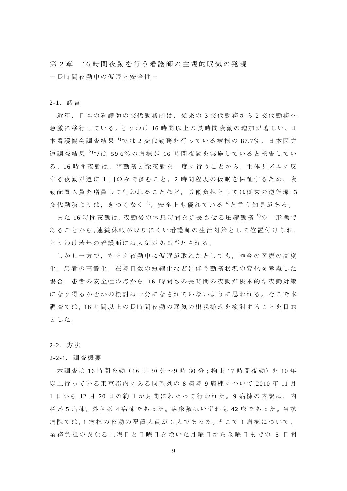第 2 章 16 時間夜勤を行う看護師の主観的眠気の発現 -長時間夜勤中の仮眠と安全性-

#### 2-1.諸言

近年,日本の看護師の交代勤務制は,従来の 3 交代勤務から 2 交代勤務へ 急 激 に 移 行 し て い る 。と り わ け 16 時 間 以 上 の 長 時 間 夜 勤 の 増 加 が 著 し い 。日 本看護協会調査結果 <sup>1</sup>では 2 交代勤務を行っている病棟の 87.7%, 日本医労 連調査結果 2 )で は 59.6%の病棟が 16 時間夜勤を実施していると報告してい る 。16 時間夜勤は,準勤務と深夜勤を一度に行うことから,生体リズムに反 する夜勤が週に1回のみで済むこと、2時間程度の仮眠を保証するため、夜 勤配置人員を増員して行われることなど,労働負担としては従来の逆循環 3 交代勤務よりは,きつくなく<sup>3</sup>, 安全上も優れている<sup>4</sup>と言う知見がある。

また 16 時間夜勤は, 夜勤後の休息時間を延長させる圧縮勤務 5)の一形熊で あることから,連続休暇が取りにくい看護師の生活対策として位置付けられ, とりわけ若年の看護師には人気がある 6 )とされる。

しかし一方で,たとえ夜勤中に仮眠が取れたとしても,昨今の医療の高度 化,患者の高齢化,在院日数の短縮化などに伴う勤務状況の変化を考慮した 場合,患者の安全性の点から 16 時間もの長時間の夜勤が根本的な夜勤対策 になり得るか否かの検討は十分になされていないように思われる。そこで本 調査では,16 時間以上の長時間夜勤の眠気の出現様式を検討することを目的 とした。

2-2.方法

#### 2-2-1.調査概要

本調査は 16 時間夜勤 (16 時 30 分~9 時 30 分;拘束 17 時間夜勤)を 10 年 以上行っている東京都内にある同系列の 8 病 院 9 病棟について 2010 年 11 月 1 日から 12 月 20 日の約 1 か月間にわたって行われた。 9 病棟の内訳は,内 科 系 5 病棟, 外 科 系 4 病棟 で あ っ た 。病 床 数 は い ず れ も 42 床 で あ っ た 。当 該 病院では, 1 病棟の夜勤の配置人員が 3 人であった。そこで 1 病棟について, 業務負担の異なる土曜日と日曜日を除いた月曜日から金曜日までの 5 日間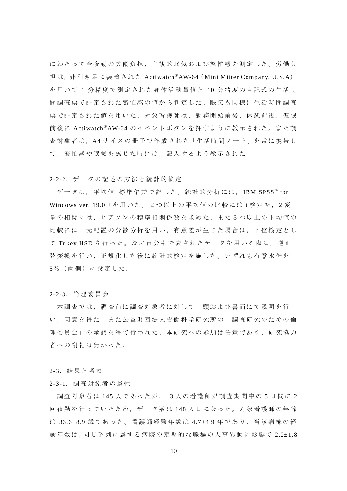にわたって全夜勤の労働負担,主観的眠気および繁忙感を測定した。労働負 担は, 非利き足に装着された Actiwatch®AW-64 (Mini Mitter Company, U.S.A) を用いて 1 分精度で測定された身体活動量値と 10 分精度の自記式の生活時 間調査票で評定された繁忙感の値から判定した。眠気も同様に生活時間調査 票で評定された値を用いた。対象看護師は,勤務開始前後,休憩前後,仮眠 前後に Actiwatch®AW-64 のイベントボタンを押すように教示された。また調 査対象者は, A4 サイズの冊子で作成された「生活時間ノート」を常に携帯し て,繁忙感や眠気を感じた時には,記入するよう教示された。

#### 2-2-2.データの記述の方法と統計的検定

データは、平均値±標準偏差で記した。統計的分析には、IBM SPSS® for Windows ver. 19.0 J を用いた。2つ以上の平均値の比較には t 検定を, 2 変 量の相関には,ピアソンの積率相関係数を求めた。また3つ以上の平均値の 比較には一元配置の分散分析を用い,有意差が生じた場合は,下位検定とし て Tukey HSD を行った。なお百分率で表されたデータを用いる際は,逆正 弦変換を行い,正規化した後に統計的検定を施した。いずれも有意水準を 5%(両側)に設定した。

#### 2-2-3.倫理委員会

 本調査では,調査前に調査対象者に対して口頭および書面にて説明を行 い,同意を得た。また公益財団法人労働科学研究所の「調査研究のための倫 理委員会」の承認を得て行われた。本研究への参加は任意であり,研究協力 者への謝礼は無かった。

#### 2-3.結果と考察

#### 2-3-1.調査対象者の属性

調査対象者は 145 人であったが, 3 人の看護師が調査期間中の 5 日間に 2 回夜勤を行っていたため,データ数は 148 人日になった。対象看護師の年齢 は 33.6±8.9 歳であった。看護師経験年数は 4.7±4.9 年であり,当該病棟の経 験 年 数 は ,同 じ 系 列 に 属 す る 病 院 の 定 期 的 な 職 場 の 人 事 異 動 に 影 響 で 2.2±1.8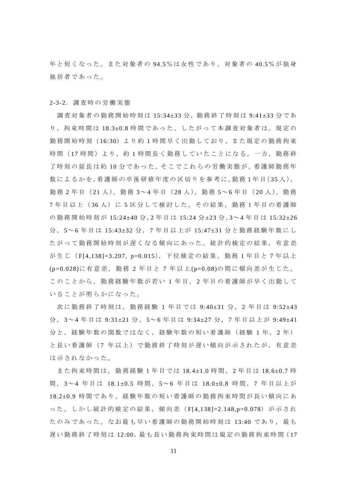年と短くなった。また対象者の 94.5%は女性であり,対象者の 40.5%が独身 独居者であった。

2-3-2.調査時の労働実態

調査対象者の勤務開始時刻は 15:34±33分,勤務終了時刻は 9:41±33分であ り,拘束時間は 18.3±0.8 時間であった。したがって本調査対象者は,規定の 勤務開始時刻( 16:30)より約 1 時間早く出勤しており,また規定の勤務拘束 時間(17時間)より,約1時間長く勤務していたことになる。一方,勤務終 了時刻の延長は約10分であった。そこでこれらの労働実態が,看護師勤務年 数によるかを,看護師の卒後研修年度の区切りを参考に,勤務1年目(35人), 勤務 2 年目 ( 21 人 ), 勤務 3~ 4 年目 ( 28 人 ), 勤務 5~ 6 年目 ( 20 人 ), 勤務 7 年目以上( 36 人)に 5 区分して検討した。その結果,勤務 1 年目の看護師 の勤務開始時刻が 15:24±40 分, 2 年目は 15:24 分±23 分, 3~4 年目は 15:32±26 分 , 5~ 6 年目は 15:43±32 分 , 7 年目以上が 15:47±31 分と勤務経験年数にし たがって勤務開始時刻が遅くなる傾向にあった。統計的検定の結果,有意差 が生じ( F[4,138]=3.207, p=0.015),下位検定の結果,勤務 1 年目と 7 年以上 (p=0.028)に有意差,勤務 2 年目と 7 年以上 (p=0.08)の間に傾向差が生じた。 このことから,勤務経験年数が若い 1 年目, 2 年目の看護師が早く出勤して いることが明らかになった。

次に勤務終了時刻は、勤務経験 1年目では 9:40±31 分, 2年目は 9:52±43 分, 3~4年目は 9:31±21 分, 5~6年目は 9:34±27 分, 7年目以上が 9:49±41 分と,経験年数の関数ではなく,経験年数の短い看護師(経験1年,2年) と長い看護師( 7 年以上)で勤務終了時刻が遅い傾向が示されたが,有意差 は示されなかった。

また拘束時間は,勤務経験 1 年目では 18.4±1.0 時間, 2 年目は 18.6±0.7 時 間 , 3~ 4 年目は 18.1±0.5 時間, 5~ 6 年目は 18.0±0.8 時間, 7 年目以上が 18.2±0.9 時間であり, 経験年数の短い看護師の勤務拘束時間が長い傾向にあ った。しかし統計的検定の結果,傾向差 (F[4,138]=2.148,p=0.078) が示され たのみであった。なお最も早い看護師の勤務開始時刻は 13:40 であり,最も 遅い勤務終了時刻は 12:00, 最も長い勤務拘束時間は規定の勤務拘束時間(17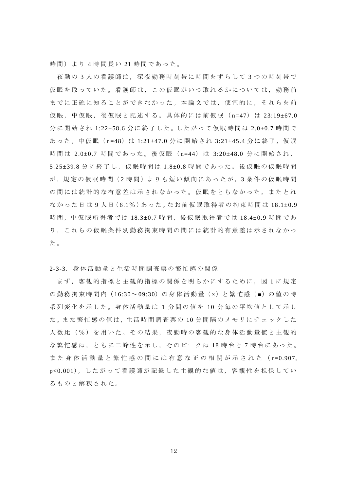時間)より4時間長い21時間であった。

夜勤の 3 人の看護師は,深夜勤務時刻帯に時間をずらして 3 つの時刻帯で 仮眠を取っていた。看護師は,この仮眠がいつ取れるかについては,勤務前 までに正確に知ることができなかった。本論文では,便宜的に,それらを前 仮眠,中仮眠,後仮眠と記述する。具体的には前仮眠( n=47) は 23:19±67.0 分に開始され 1:22±58.6 分に終了した。したがって仮眠時間は 2.0±0.7 時間で あった。中仮眠 (n=48)は 1:21±47.0 分に開始され 3:21±45.4 分に終了, 仮眠 時間は 2.0±0.7 時間であった。後仮眠 (n=44) は 3:20±48.0 分に開始され, 5:25±39.8 分に終了し, 仮眠時間は 1.8±0.8 時間であった。後仮眠の仮眠時間 が,規定の仮眠時間( 2 時間)よりも短い傾向にあったが,3 条件の仮眠時間 の間には統計的な有意差は示されなかった。仮眠をとらなかった,またとれ なかった日は 9 人日 (6.1%) あった。なお前仮眠取得者の拘束時間は 18.1±0.9 時間,中仮眠所得者では 18.3±0.7 時間,後仮眠取得者では 18.4±0.9 時間であ り,これらの仮眠条件別勤務拘束時間の間には統計的有意差は示されなかっ た。

2-3-3.身体活動量と生活時間調査票の繁忙感の関係

まず,客観的指標と主観的指標の関係を明らかにするために,図 1 に規定 の勤務拘束時間内 (16:30~09:30)の身体活動量 (×) と繁忙感 (■) の値の時 系列変化を示した。身体活動量は 1 分間の値を 10 分毎の平均値として示し た。また繁忙感の値は、生活時間調査票の10分間隔のメモリにチェックした 人数比(%)を用いた。その結果,夜勤時の客観的な身体活動量値と主観的 な繁忙感は,ともに二峰性を示し,そのピークは 18 時台と 7 時台にあった。 また身体活動量と繁忙感の間には有意な正の相関が示された( r=0.907, p<0.001)。したがって看護師が記録した主観的な値は、客観性を担保してい るものと解釈された。

12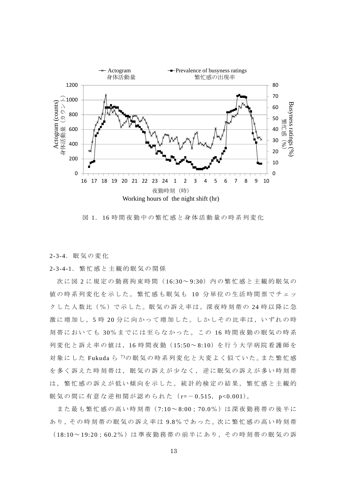

図 1. 16 時間夜勤中の繁忙感と身体活動量の時系列変化

2-3-4.眠気の変化

2-3-4-1.繁忙感と主観的眠気の関係

次に図 2 に規定の勤務拘束時間 (16:30~9:30) 内の繁忙感と主観的眠気の 値の時系列変化を示した。繁忙感も眠気も 10 分単位の生活時間票でチェッ クした人数比(%)で示した。眠気の訴え率は,深夜時刻帯の 24 時以降に急 激に増加し,5 時 20 分に向かって増加した。しかしその比率は,いずれの時 刻帯においても 30%までには至らなかった。この 16 時間夜勤の眠気の時系 列変化と訴え率の値は,16 時間夜勤( 15:50~ 8:10)を行う大学病院看護師を 対象にした Fukuda ら <sup>7)</sup>の眠気の時系列変化と大変よく似ていた。また繁忙感 を多く訴えた時刻帯は,眠気の訴えが少なく,逆に眠気の訴えが多い時刻帯 は,繁忙感の訴えが低い傾向を示した。統計的検定の結果,繁忙感と主観的 眠気の間に有意な逆相関が認められた (r=-0.515, p<0.001)。 ( 18:10 ) 19:20;60.2%) は、最後の電気の電気の電気の電気の電気の電気の電気を変え、最も最もの間に有量な変化の高いで、最も最も最も最も最も最も最もある。それまで、最近の時系の時代は、これは、19:20分に向かって増加した。しかしその広率は、いずれの購入の量をにおいてよりの強化を示した。既気の薪え確固、タークの電話の事業の可能性のの場所を取り取り、これは、これは、これは、これは、これは、これは、これは、これは、これは、

また最も繁忙感の高い時刻帯 (7:10~8:00;70.0%)は深夜勤務帯の後半に あり、その時刻帯の眠気の訴え率は9.8%であった。次に繁忙感の高い時刻帯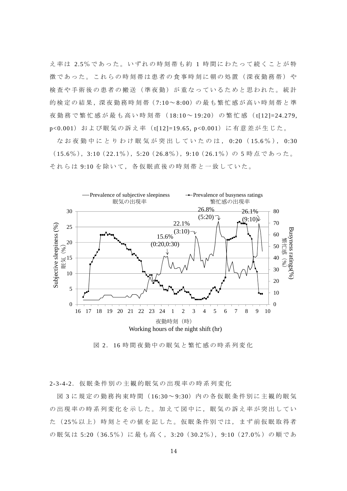え率は 2.5%であった。いずれの時刻帯も約 1 時間にわたって続くことが特 徴であった。これらの時刻帯は患者の食事時刻に朝の処置(深夜勤務帯)や 検査や手術後の患者の搬送(準夜勤)が重なっているためと思われた。統計 的検定の結果,深夜勤務時刻帯(7:10~8:00)の最も繁忙感が高い時刻帯と準 夜勤務で繁忙感が最も高い時刻帯( 18:10~ 19:20)の繁忙感( t[12]=24.279, p<0.001) および眠気の訴え率 (t[12]=19.65, p<0.001) に有意差が生じた。

なお夜勤中にとりわけ眠気が突出していたのは, 0:20 ( 15.6 % ), 0:30 ( 15.6%), 3:10( 22.1%), 5:20( 26.8%), 9:10( 26.1%)の5時点であった。 それらは 9:10 を除いて,各仮眠直後の時刻帯と一致していた。



図 2. 16 時間夜勤中の眠気と繁忙感の時系列変化

2-3-4-2. 仮眠条件別の主観的眠気の出現率の時系列変化

図 3 に規定の勤務拘束時間 (16:30~9:30) 内の各仮眠条件別に主観的眠気 の出現率の時系列変化を示した。加えて図中に、眠気の訴え率が突出してい た (25%以上)時刻とその値を記した。仮眠条件別では、まず前仮眠取得者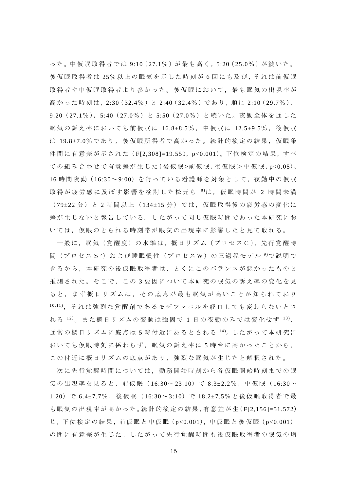った。中仮眠取得者では 9:10 (27.1%) が最も高く, 5:20 (25.0%) が続いた。 後仮眠取得者は 25%以上の眠気を示した時刻が 6回にも及び, それは前仮眠 取得者や中仮眠取得者より多かった。後仮眠において、最も眠気の出現率が 高かった時刻は, 2:30 (32.4%)と 2:40 (32.4%) であり, 順に 2:10 (29.7%), 9:20 (27.1%), 5:40 (27.0%)と 5:50 (27.0%)と続いた。夜勤全体を通した 眠気の訴え率においても前仮眠は 16.8±8.5%, 中仮眠は 12.5±9.5%, 後仮眠 は 19.8±7.0%であり,後仮眠所得者で高かった。統計的検定の結果,仮眠条 件間に有意差が示された (F[2,308]=19.559, p<0.001)。下位検定の結果, すべ ての組み合わせで有意差が生じた(後仮眠>前仮眠,後仮眠>中仮眠,p<0.05)。 16 時間夜勤( 16:30~ 9:00)を行っている看護師を対象として,夜勤中の仮眠 取得が疲労感に及ぼす影響を検討した松元ら 8)は, 仮眠時間が 2 時間未満 (79±22分)と2時間以上(134±15分)では,仮眠取得後の疲労感の変化に 差が生じないと報告している。したがって同じ仮眠時間であった本研究にお いては,仮眠のとられる時刻帯が眠気の出現率に影響したと見て取れる。

一般に,眠気(覚醒度)の水準は,概日リズム (プロセス C),先行覚醒時 間(プロセスS ')および睡眠慣性(プロセスW)の三過程モデル <sup>9)</sup>で説明で きるから,本研究の後仮眠取得者は,とくにこのバランスが悪かったものと 推測された。そこで,この 3 要因について本研究の眠気の訴え率の変化を見 ると,まず概日リズムは,その底点が最も眠気が高いことが知られており 10,11),それは強烈な覚醒剤であるモデファニルを経口しても変わらないとさ れる $12$ )。また概日リズムの変動は強固で 1 日の夜勤のみでは変化せず $13$ ), 通常の概日リズムに底点は 5 時付近にあるとされる 14)。したがって本研究に おいても仮眠時刻に係わらず,眠気の訴え率は5時台に高かったことから, この付近に概日リズムの底点があり、強烈な眠気が生じたと解釈された。

次に先行覚醒時間については,勤務開始時刻から各仮眠開始時刻までの眠 気の出現率を見ると, 前仮眠 (16:30~23:10) で 8.3±2.2%, 中仮眠 (16:30~ 1:20)で 6.4±7.7%,後仮眠( 16:30~ 3:10)で 18.2±7.5%と後仮眠取得者で最 も 眠 気 の 出 現 率 が 高 か っ た 。統 計 的 検 定 の 結 果 ,有意差が生( F[2,156]=51.572) じ,下位検定の結果, 前仮眠と中仮眠(p<0.001), 中仮眠と後仮眠(p<0.001) の間に有意差が生じた。したがって先行覚醒時間も後仮眠取得者の眠気の増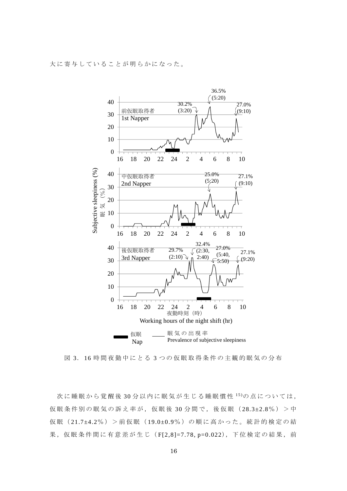大に寄与していることが明らかになった。



図 3. 16 時間夜勤中にとる 3 つの仮眠取得条件の主観的眠気の分布

次に睡眠から覚醒後30分以内に眠気が生じる睡眠慣性 15)の点については, 仮眠条件別の眠気の訴え率が,仮眠後 30 分間で,後仮眠( 28.3±2.8%)>中 仮眠( 21.7±4.2%)>前仮眠( 19.0±0.9%)の順に高かった。統計的検定の結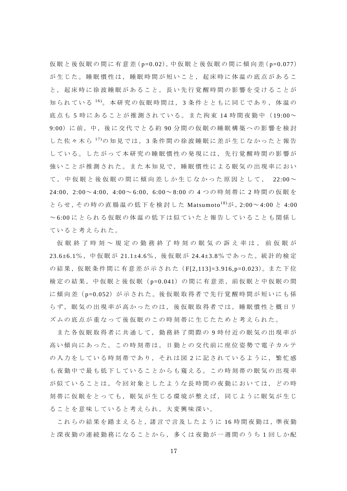仮眠と後仮眠の間に有意差( p=0.02),中仮眠と後仮眠の間に傾向差( p=0.077) が生じた。睡眠慣性は,睡眠時間が短いこと,起床時に体温の底点があるこ と,起床時に徐波睡眠があること,長い先行覚醒時間の影響を受けることが 知られている 16)。本研究の仮眠時間は, 3 条件とともに同じであり,体温の 底点も 5 時にあることが推測されている。また拘束 14 時間夜勤中 (19:00~ 9:00)に前,中,後に交代でとる約 90 分間の仮眠の睡眠構築への影響を検討 した佐々木ら 17)の知見では, 3 条件間の徐波睡眠に差が生じなかったと報告 している。したがって本研究の睡眠慣性の発現には,先行覚醒時間の影響が 強いことが推測された。また本知見で,睡眠慣性による眠気の出現率におい て,中仮眠と後仮眠の間に傾向差しか生じなかった原因として, 22:00~ 24:00, 2:00~ 4:00, 4:00~ 6:00, 6:00~8:00 の 4 つの時刻帯に 2 時間の仮眠を とらせ, その時の直腸温の低下を検討した Matsumoto<sup>18)</sup>が, 2:00~4:00 と 4:00 ~ 6:00 にとられる仮眠の体温の低下は似ていたと報告していることも関係し ていると考えられた。

仮眠終了時刻~規定の勤務終了時刻の眠気の訴え率は,前仮眠が 23.6±6.1%,中仮眠が 21.1±4.6%,後仮眠が 24.4±3.8%であった。統計的検定 の結果,仮眠条件間に有意差が示された (F[2,113]=3.916,p=0.023)。また下位 検定の結果,中仮眠と後仮眠( p=0.041)の間に有意差,前仮眠と中仮眠の間 に傾向差(p=0.052)が示された。後仮眠取得者で先行覚醒時間が短いにも係 らず、眠気の出現率が高かったのは、後仮眠取得者では、睡眠慣性と概日リ ズムの底点が重なって後仮眠のこの時刻帯に生じたためと考えられた。

また各仮眠取得者に共通して,勤務終了間際の 9 時付近の眠気の出現率が 高い傾向にあった。この時刻帯は,日勤との交代前に座位姿勢で電子カルテ の入力をしている時刻帯であり,それは図 2 に記されているように,繁忙感 も夜勤中で最も低下していることからも窺える。この時刻帯の眠気の出現率 が似ていることは,今回対象としたような長時間の夜勤においては,どの時 刻帯に仮眠をとっても,眠気が生じる環境が整えば,同じように眠気が生じ ることを意味していると考えられ,大変興味深い。

これらの結果を踏まえると,諸言で言及したように 16 時間夜勤は, 準夜勤 と深夜勤の連続勤務になることから,多くは夜勤が一週間のうち 1 回しか配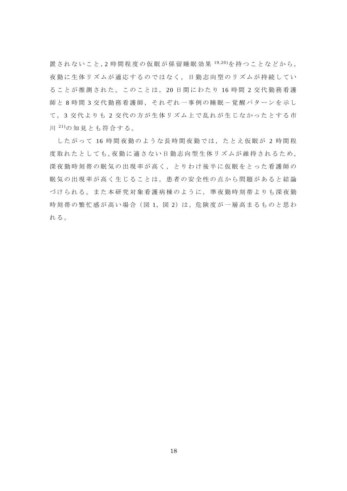置されないこと,2 時間程度の仮眠が係留睡眠効果 19,20)を持つことなどから, 夜勤に生体リズムが適応するのではなく,日勤志向型のリズムが持続してい ることが推測された。このことは, 20 日間にわたり 16 時 間 2 交代勤務看護 師と 8 時間 3 交代勤務看護師, それぞれ一事例の睡眠-覚醒パターンを示し て、3 交代よりも2 交代の方が生体リズム上で乱れが生じなかったとする市 川 21)の知見とも符合する。

したがって 16 時間夜勤のような長時間夜勤では,たとえ仮眠が 2 時間程 度取れたとしても,夜勤に適さない日勤志向型生体リズムが維持されるため, 深夜勤時刻帯の眠気の出現率が高く,とりわけ後半に仮眠をとった看護師の 眠気の出現率が高く生じることは,患者の安全性の点から問題があると結論 づけられる。また本研究対象看護病棟のように,準夜勤時刻帯よりも深夜勤 時刻帯の繁忙感が高い場合(図1,図2)は,危険度が一層高まるものと思わ れる。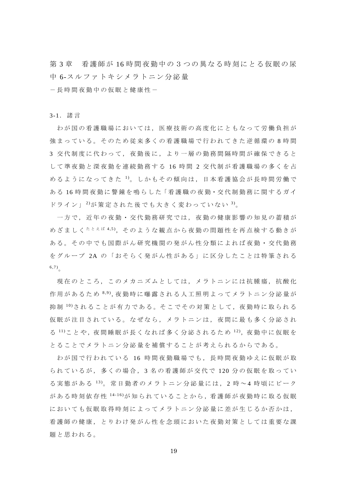第3章 看護師が16時間夜勤中の3つの異なる時刻にとる仮眠の尿 中 6-スルファトキシメラトニン分泌量

-長時間夜勤中の仮眠と健康性-

3-1.諸言

わが国の看護職場においては,医療技術の高度化にともなって労働負担が 強まっている。そのため従来多くの看護職場で行われてきた逆循環の 8 時間 3 交代制度に代わって,夜勤後に,より一層の勤務間隔時間が確保できると して準夜勤と深夜勤を連続勤務する 16 時間 2 交代制が看護職場の多くを占 めるようになってきた 1。しかもその傾向は、日本看護協会が長時間労働で ある 16 時間 夜勤に 警鐘 を鳴らした 「看護職の夜勤・交代制勤務に関するガイ ドライン」<sup>2)</sup>が策定された後でも大きく変わっていない<sup>3)</sup>。

一方で,近年の夜勤・交代勤務研究では,夜勤の健康影響の知見の蓄積が めざましく<sup>たとえば 4,5</sup>), そのような観点から夜勤の問題性を再点検する動きが ある。その中でも国際がん研究機関の発がん性分類によれば夜勤・交代勤務 をグループ 2A の「おそらく発がん性がある」に区分したことは特筆される 6,7)。

現在のところ,このメカニズムとしては,メラトニンには抗腫瘍,抗酸化 作用があるため 8,9), 夜勤時に曝露される人工照明よってメラトニン分泌量が 抑 制 10)されることが有力である。そこでその対策として,夜勤時に取られる 仮眠が注目されている。なぜなら,メラトニンは,夜間に最も多く分泌され る <sup>11</sup>)こ と や , 夜 間 睡 眠 が 長 く な れ ば 多 く 分 泌 さ れ る た め 1<sup>2</sup>), 夜 勤 中 に 仮 眠 を とることでメラトニン分泌量を補償することが考えられるからである。

わが国で行われている 16 時間夜勤職場でも,長時間夜勤ゆえに仮眠が取 られているが,多くの場合, 3 名の看護師が交代で 120 分の仮眠を取ってい る実態がある 13)。常日勤者のメラトニン分泌量には, 2 時 ~ 4 時頃にピーク がある時刻依存性  $14\cdot16$ が知られていることから,看護師が夜勤時に取る仮眠 においても仮眠取得時刻によってメラトニン分泌量に差が生じるか否かは, 看護師の健康,とりわけ発がん性を念頭においた夜勤対策としては重要な課 題と思われる。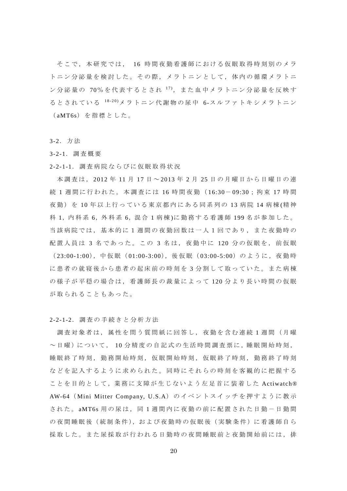そこで,本研究では, 16 時間夜勤看護師における仮眠取得時刻別のメラ トニン分泌量を検討した。その際,メラトニンとして,体内の循環メラトニ ン分泌量の 70%を代表するとされ 17),また血中メラトニン分泌量を反映す るとされている 18-20)メラトニン代謝物の尿中 6-スルファトキシメラトニン ( aMT6s)を指標とした。

3-2.方法

3-2-1.調査概要

2-2-1-1.調査病院ならびに仮眠取得状況

本調査は, 2012 年 11 月 17 日 ~ 2013 年 2 月 25 日の月曜日から日曜日の連 統1週間に行われた。本調査には 16時間夜勤 (16:30-09:30;拘束 17 時間 夜勤)を10年以上行っている東京都内にある同系列の13病院14病棟(精神 科 1,内 科 系 6,外 科 系 6,混 合 1 病 棟 )に勤務する看護師 199 名が参加した。 当該病院では,基本的に1週間の夜勤回数は一人1回であり,また夜勤時の 配置人員は 3 名であった。この 3 名は,夜勤中に 120 分の仮眠を,前仮眠 ( 23:00-1:00),中仮眠( 01:00-3:00),後仮眠( 03:00-5:00)のように,夜勤時 に患者の就寝後から患者の起床前の時刻を 3 分割して取っていた。また病棟 の様子が平穏の場合は,看護師長の裁量によって 120 分より長い時間の仮眠 が取られることもあった。

2-2-1-2.調査の手続きと分析方法

調査対象者は,属性を問う質問紙に回答し,夜勤を含む連続 1 週間(月曜 ~日曜)について, 10分精度の自記式の生活時間調査票に,睡眠開始時刻, 睡眠終了時刻,勤務開始時刻,仮眠開始時刻,仮眠終了時刻,勤務終了時刻 などを記入するように求められた。同時にそれらの時刻を客観的に把握する ことを目的として,業務に支障が生じないよう左足首に装着した Actiwatch® AW-64( Mini Mitter Company, U.S.A) の イベントスイッチを押すように教示 された。 aMT6s 用の尿は, 同 1 週間内に夜勤の前に配置された日勤-日勤間 の夜間睡眠後(統制条件),および夜勤時の仮眠後(実験条件)に看護師自ら 採取した。また尿採取が行われる日勤時の夜間睡眠前と夜勤開始前には,排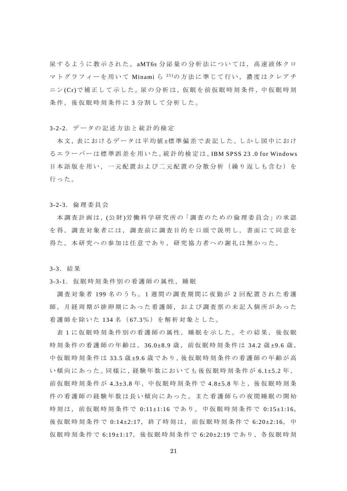尿するように教示された。 aMT6s 分泌量の分析法については,高速液体クロ マトグラフィーを用いて Minami ら 21)の方法に準じて行い,濃度はクレアチ ニン (Cr) で補正 して示 した。尿の分析は,仮眠を前仮眠時刻条件,中仮眠時刻 条件,後仮眠時刻条件に3分割して分析した。

#### 3-2-2.データの記述方法と統計的検定

本文,表におけるデータは平均値±標準偏差で表記した。 しかし図中におけ るエラーバーは標準誤差を用いた。統計的検定は,IBM SPSS 23 .0 for Windows 日本語版を用い,一元配置および二元配置の分散分析(繰り返しも含む)を 行った。

3-2-3.倫理委員会

本調査計画は, (公財)労働科学研究所の「調査のための倫理委員会」の承認 を得,調査対象者には,調査前に調査目的を口頭で説明し,書面にて同意を 得た。本研究への参加は任意であり,研究協力者への謝礼は無かった。

3-3.結果

3-3-1. 仮眠時刻条件別の看護師の属性,睡眠

 調査対象者 199 名のうち, 1 週間の調査期間に夜勤が 2 回配置された看護 師,月経周期が排卵期にあった看護師,および調査票の未記入個所があった 看護師を除いた 134 名 ( 67.3%)を解析対象とした。

表1に仮眠時刻条件別の看護師の属性,睡眠を示した。その結果,後仮眠 時刻条件の看護師の年齢は, 36.0±8.9 歳, 前仮眠時刻条件は 34.2 歳±9.6 歳, 中仮眠時刻条件は 33.5 歳±9.6 歳であり, 後仮眠時刻条件の看護師の年齢が高 い 傾 向 に あ っ た 。同 様 に ,経 験 年 数 に お い て も 後 仮 眠 時 刻 条 件 が 6.1±5.2 年 , 前仮眠時刻条件が 4.3±3.8 年,中仮眠時刻条件で 4.8±5.8 年と,後仮眠時刻条 件の看護師の経験年数は長い傾向にあった。また看護師らの夜間睡眠の開始 時刻は,前仮眠時刻条件で 0:11±1:16 であり,中仮眠時刻条件で 0:15±1:16, 後仮眠時刻条件で 0:14±2:17, 終了時刻は, 前仮眠時刻条件で 6:20±2:16, 中 仮眠時刻条件で 6:19±1:17,後仮眠時刻条件で 6:20±2:19 であり,各仮眠時刻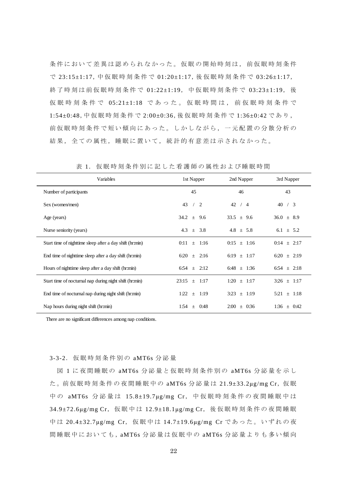条件において差異は認められなかった。仮眠の開始時刻は、前仮眠時刻条件 で 23:15±1:17,中仮眠時刻条件で 01:20±1:17,後仮眠時刻条件で 03:26±1:17, 終了時刻は前仮眠時刻条件で 01:22±1:19,中仮眠時刻条件で 03:23±1:19, 後 仮眠時刻条件で 05:21±1:18 であった。仮眠時間は,前仮眠時刻条件で 1:54±0:48,中仮眠時刻条件で 2:00±0:36,後仮眠時刻条件で 1:36±0:42 であり, 前仮眠時刻条件で短い傾向にあった。しかしながら,一元配置の分散分析の 結果,全ての属性,睡眠に置いて,統計的有意差は示されなかった。

| Variables                                                | 1st Napper                       | 2nd Napper      | 3rd Napper          |
|----------------------------------------------------------|----------------------------------|-----------------|---------------------|
| Number of participants                                   | 45                               | 46              | 43                  |
| Sex (women/men)                                          | 43<br>$\overline{2}$<br>$\prime$ | 42<br>/4        | 40<br>$\frac{1}{3}$ |
| Age (years)                                              | $34.2 \pm 9.6$                   | $33.5 \pm 9.6$  | $36.0 \pm 8.9$      |
| Nurse seniority (years)                                  | $4.3 \pm 3.8$                    | $4.8 \pm 5.8$   | 6.1 $\pm$ 5.2       |
| Start time of nighttime sleep after a day shift (hr:min) | $0:11 \pm 1:16$                  | $0:15 \pm 1:16$ | $0:14 \pm 2:17$     |
| End time of nighttime sleep after a day shift (hr:min)   | $6:20 \pm 2:16$                  | 6:19 $\pm$ 1:17 | $6:20 \pm 2:19$     |
| Hours of nighttime sleep after a day shift (hr:min)      | $6:54 \pm 2:12$                  | $6:48 \pm 1:36$ | $6:54 \pm 2:18$     |
| Start time of nocturnal nap during night shift (hr:min)  | 23:15<br>1:17<br>$+$             | $1:20 \pm 1:17$ | $3:26 \pm 1:17$     |
| End time of nocturnal nap during night shift (hr:min)    | 1:22<br>$\pm$ 1:19               | $3:23 \pm 1:19$ | $5:21 \pm 1:18$     |
| Nap hours during night shift (hr:min)                    | $1:54 \pm$<br>0:48               | $2:00 \pm 0.36$ | $1:36 \pm 0:42$     |

表 1. 仮眠時刻条件別に記した看護師の属性および睡眠時間

There are no significant differences among nap conditions.

#### 3-3-2.仮眠時刻条件別の aMT6s 分泌量

図 1 に夜間睡眠の aMT6s 分泌量と仮眠時刻条件別の aMT6s 分泌量を示し た。前仮眠時刻条件の夜間睡眠中の aMT6s 分泌量は 21.9±33.2μg/mg Cr, 仮眠 中の aMT6s 分泌量は 15.8±19.7µg/mg Cr, 中仮眠時刻条件の夜間睡眠中は 34.9±72.6μg/mg Cr, 仮眠中は 12.9±18.1μg/mg Cr, 後仮眠時刻条件の夜間睡眠 中は 20.4±32.7μg/mg Cr, 仮眠中は 14.7±19.6μg/mg Cr であった。いずれの夜 間睡眠中においても,aMT6s 分泌量は仮眠中の aMT6s 分泌量よりも多い傾向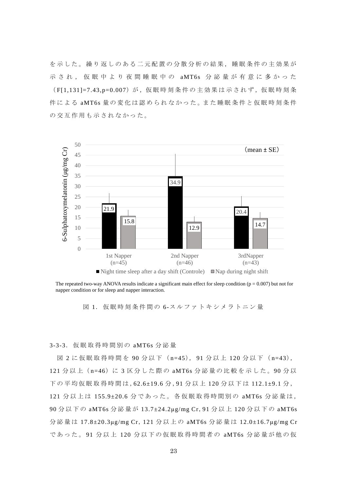を示した。繰り返しのある二元配置の分散分析の結果,睡眠条件の主効果が 示され,仮眠中より夜間睡眠中の aMT6s 分泌量が有意に多かった (F[1,131]=7.43,p=0.007) が, 仮眠時刻条件の主効果は示されず, 仮眠時刻条 件による aMT6s 量の変化は認められなかった。また睡眠条件と仮眠時刻条件 の交互作用も示されなかった。



The repeated two-way ANOVA results indicate a significant main effect for sleep condition ( $p = 0.007$ ) but not for

図 1. 仮眠時刻条件間の 6-スルファトキシメラトニン量

3-3-3.仮眠取得時間別の aMT6s 分泌量

図 2 に仮眠取得時間を 90 分以下 (n=45), 91 分以上 120 分以下 (n=43), 121 分以上 (n=46) に 3 区分した際の aMT6s 分泌量の比較を示した。90 分以 下の平均仮眠取得時間は,62.6±19.6 分 ,91 分以上 120 分以下は 112.1±9.1 分 , 121 分以上は 155.9±20.6 分であった。各仮眠取得時間別の aMT6s 分泌量は, 90 分以下の aMT6s 分泌量が 13.7±24.2μg/mg Cr,91 分以上 120 分以下の aMT6s 分泌量は 17.8±20.3μg/mg Cr,121 分以上の aMT6s 分泌量は 12.0±16.7μg/mg Cr であった。 91 分以上 120 分以下の仮眠取得時間者の aMT6s 分泌量が他の仮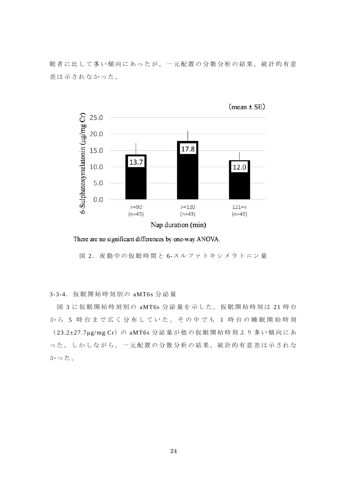眠者に比して多い傾向にあったが,一元配置の分散分析の結果,統計的有意 差は示されなかった。



 $(mean \pm SE)$ 

There are no significant differences by one-way ANOVA.

図 2. 夜勤中の仮眠時間と 6-スルファトキシメラトニン量

#### 3-3-4.仮眠開始時刻別の aMT6s 分泌量

図 3 に仮眠開始時刻別の aMT6s 分泌量を示した。仮眠開始時刻は 21 時 台 から 5 時台まで広く分布していた。その中でも 1 時台の睡眠開始時刻 ( 23.2±27.7μg/mg Cr)の aMT6s 分泌量が他の仮眠開始時刻より多い傾向にあ った。しかしながら,一元配置の分散分析の結果,統計的有意差は示されな かった。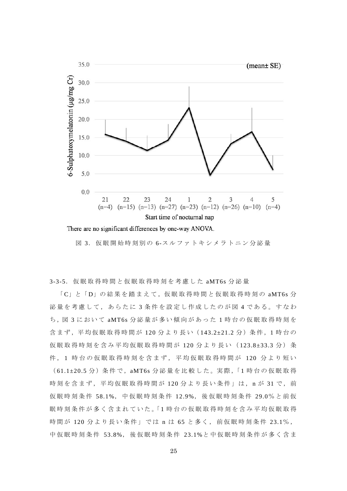

There are no significant differences by one-way ANOVA.

図 3. 仮眠開始時刻別の 6-スルファトキシメラトニン分泌量

3-3-5.仮眠取得時間と仮眠取得時刻を考慮した aMT6s 分泌量

「C」と「D」の結果を踏まえて,仮眠取得時間と仮眠取得時刻の aMT6s 分 泌量を考慮して,あらたに 3 条件を設定し作成したのが図 4 である。すなわ ち ,図 3 において aMT6s 分泌量が多い傾向があった 1 時台の仮眠取得時刻を 含まず, 平均仮眠取得時間が 120 分より長い (143.2±21.2 分) 条件, 1 時台の 仮眠取得時刻を含み平均仮眠取得時間が 120 分より長い( 123.8±33.3 分)条 件、1 時台の仮眠取得時刻を含まず、平均仮眠取得時間が 120 分より短い (61.1±20.5分) 条件で, aMT6s 分泌量を比較した。実際,「1時台の仮眠取得 時刻を含まず,平均仮眠取得時間が 120分より長い条件」は, n が 31 で, 前 仮眠時刻条件 58.1%,中仮眠時刻条件 12.9%,後仮眠時刻条件 29.0%と前仮 眠時刻条件が多く含まれていた。「1時台の仮眠取得時刻を含み平均仮眠取得 時間が 120 分より長い条件」では n は 65 と多く, 前仮眠時刻条件 23.1%, 中仮眠時刻条件 53.8%,後仮眠時刻条件 23.1%と中仮眠時刻条件が多く含ま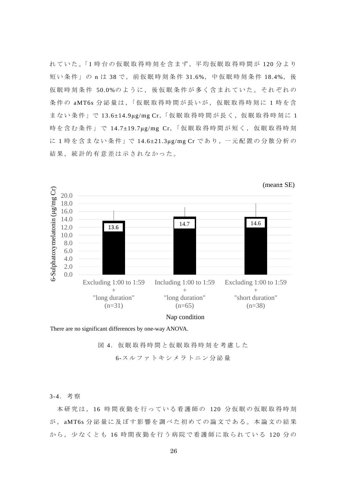れていた。「1時台の仮眠取得時刻を含まず、平均仮眠取得時間が 120分より 短い条件」の n は 38 で, 前仮眠時刻条件 31.6%, 中仮眠時刻条件 18.4%, 後 仮眠時刻条件 50.0%のように,後仮眠条件が多く含まれていた。それぞれの 条件の aMT6s 分泌量は,「仮眠取得時間が長いが, 仮眠取得時刻に 1 時を含 まない条件」で 13.6±14.9μg/mg Cr,「仮眠 取得時間が長く, 仮眠取得時刻に 1 時を含む条件」で 14.7±19.7μg/mg Cr,「仮眠取得時間が短く, 仮眠取得時刻 に 1 時を含まない条件」で 14.6±21.3μg/mg Cr であり, 一元配置の分散分析の 結果,統計的有意差は示されなかった。



Nap condition

There are no significant differences by one-way ANOVA.

図 4. 仮眠取得時間と仮眠取得時刻を考慮した

6-スルファトキシメラトニン分泌量

#### 3-4.考察

 本研究は, 16 時間夜勤を行っている看護師の 120 分仮眠の仮眠取得時刻 が , aMT6s 分泌量に及ぼす影響を調べた初めての論文である。本論文の結果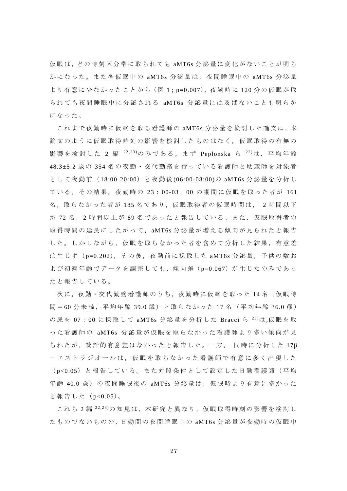仮 眠 は ,ど の 時 刻 区 分 帯 に 取 ら れ て も aMT6s 分泌量に変化がないことが明ら かになった。また各仮眠中の aMT6s 分泌量は,夜間睡眠中の aMT6s 分泌量 より有意に少なかったことから (図1:p=0.007), 夜勤時に 120 分の仮眠が取 られても夜間睡眠中に分泌される aMT6s 分泌量には及ばないことも明らか になった。

これまで夜勤時に仮眠を取る看護師の aMT6s 分泌量を検討した論文は,本 論文のように仮眠取得時刻の影響を検討したものはなく,仮眠取得の有無の 影響を検討した 2 編 <sup>22,23</sup>)のみである。まず Peplonska ら <sup>22)</sup>は, 平均年齢 48.3±5.2 歳 の 354 名の夜勤・交代勤務を行っている看護師と助産師を対象者 として夜勤前( 18:00-20:00)と夜勤後 (06:00-08:00)の aMT6s 分泌量を分析し ている。その結果,夜勤時の 23: 00-03: 00 の期間に仮眠を取った者が 161 名,取らなかった者が185名であり,仮眠取得者の仮眠時間は, 2時間以下 が 72 名 , 2 時間以上が 89 名であったと報告している。また,仮眠取得者の 取得時間の延長にしたがって,aMT6s 分泌量が増える傾向が見られたと報告 した。しかしながら,仮眠を取らなかった者を含めて分析した結果,有意差 は生じず (p=0.202), その後, 夜勤前に採取した aMT6s 分泌量, 子供の数お よび初潮年齢でデータを調整しても,傾向差 (p=0.067) が生じたのみであっ たと報告している。

次に、夜勤・交代勤務看護師のうち、夜勤時に仮眠を取った 14名 (仮眠時 間 = 60 分未満, 平均年齢 39.0 歳)と取らなかった 17 名 (平均年齢 36.0 歳) の尿を 07:00 に採取して aMT6s 分泌量を分析した Bracci ら <sup>23)</sup>は,仮眠を取 った看護師の aMT6s 分泌量が仮眠を取らなかった看護師より多い傾向が見 られたが,統計的有意差はなかったと報告した。一方, 同時に分析した 17β -エストラジオールは,仮眠を取らなかった看護師で有意に多く出現した ( p<0.05)と報告している。また対照条件として設定した日勤看護師(平均 年齢 40.0 歳)の夜間睡眠後の aMT6s 分泌量は, 仮眠時より有意に多かった と報告した( p<0.05)。

これら 2 編 <sup>22,23</sup>)の知見は,本研究と異なり,仮眠取得時刻の影響を検討し た も の で な い も の の ,日 勤 間 の 夜 間 睡 眠 中 の aMT6s 分泌量が夜勤時の仮眠中

27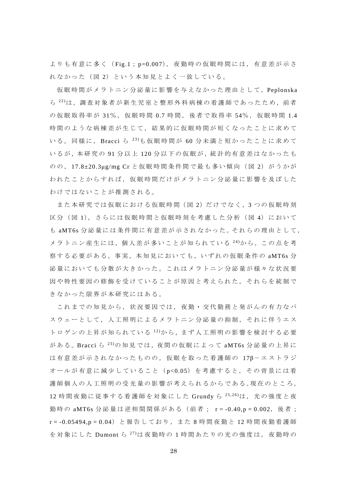よりも有意に多く( Fig.1; p=0.007),夜勤時の仮眠時間には,有意差が示さ れなかった(図2)という本知見とよく一致している。

仮眠時間がメラトニン分泌量に影響を与えなかった理由として,Peplonska ら  $^{22)}$ は, 調査対象者が新生児室と整形外科病棟の看護師であったため, 前者 の仮眠取得率が 31%, 仮眠時間 0.7 時間, 後者で取得率 54%, 仮眠時間 1.4 時間のような病棟差が生じて,結果的に仮眠時間が短くなったことに求めて いる。同様に, Bracci ら 23)も仮眠時間が 60 分未満と短かったことに求めて いるが,本研究の 91 分以上 120 分以下の仮眠が,統計的有意差はなかったも のの, 17.8±20.3μg/mg Cr と仮眠時間条件間で最も多い傾向(図 2)がうかが われたことからすれば,仮眠時間だけがメラトニン分泌量に影響を及ぼした わけではないことが推測される。

また本研究では仮眠における仮眠時間 (図 2) だけでなく, 3 つの仮眠時刻 区分(図1), さらには仮眠時間と仮眠時刻を考慮した分析(図4)において も aMT6s 分泌量には条件間に有意差が示されなかった。 それらの理由として, メラトニン産生には,個人差が多いことが知られている 24)から,この点を考 察する必要がある。事実,本知見においても,いずれの仮眠条件の aMT6s 分 泌量においても分散が大きかった。これはメラトニン分泌量が様々な状況要 因や特性要因の修飾を受けていることが原因と考えられた。それらを統制で きなかった限界が本研究にはある。

これまでの知見から,状況要因では,夜勤・交代勤務と発がんの有力なパ スウェーとして,人工照明によるメラトニン分泌量の抑制,それに伴うエス トロゲンの上昇が知られている 12)から、まず人工照明の影響を検討する必要 がある。Bracci ら <sup>23)</sup>の知見では, 夜間の仮眠によって aMT6s 分泌量の上昇に は有意差が示されなかったものの,仮眠を取った看護師の 17B-エストラジ オールが有意に減少していること( p<0.05)を考慮すると,その背景には看 護師個人の人工照明の受光量の影響が考えられるからである。現在のところ, 12 時間夜勤に従事する看護師を対象にした Grundy ら <sup>25,26</sup>)は, 光の強度と夜 勤時の aMT6s 分泌量は逆相関関係がある(前者; r = -0.40,p = 0.002, 後者; r = -0.05494,p = 0.04)と報告しており,また 8 時間夜勤と 12 時間夜勤看護師 を対象にした Dumont ら  $^{27}$ は夜勤時の 1 時間あたりの光の強度は, 夜勤時の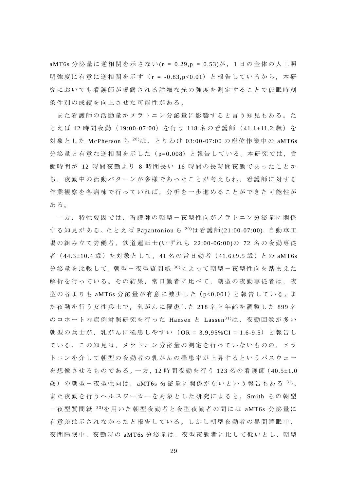aMT6s 分泌量に逆相関を示さない (r = 0.29,p = 0.53)が , 1 日の全体の人工照 明強度に有意に逆相関を示す(r = -0.83,p<0.01)と報告しているから, 本研 究においても看護師が曝露される詳細な光の強度を測定することで仮眠時刻 条件別の成績を向上させた可能性がある。

また看護師の活動量がメラトニン分泌量に影響すると言う知見もある。た とえば 12 時間夜勤(19:00-07:00)を行う 118 名の看護師(41.1±11.2 歳)を 対象とした McPherson ら 28)は,とりわけ 03:00-07:00 の座位作業中の aMT6s 分泌量と有意な逆相関を示した( p=0.008)と報告している。本研究では,労 働時間が 12 時間夜勤より 8 時間長い 16 時間の長時間夜勤であったことか ら,夜勤中の活動パターンが多様であったことが考えられ,看護師に対する 作業観察を各病棟で行っていれば,分析を一歩進めることができた可能性が ある。

一方,特性要因では,看護師の朝型-夜型性向がメラトニン分泌量に関係 する知見がある。たとえば Papantoniou ら <sup>29)</sup>は看護師(21:00-07:00), 自動車工 場の組み立て労働者,鉄道運転士 (いずれも 22:00-06:00)の 72 名の夜勤専従 者( 44.3±10.4 歳)を対象として,41 名の常日勤者( 41.6±9.5 歳)との aMT6s 分泌量を比較して, 朝型-夜型質問紙 $30$ によって朝型-夜型性向を踏まえた 解析を行っている。その結果,常日勤者に比べて,朝型の夜勤専従者は,夜 型の者よりも aMT6s 分泌量が有意に減少した (p<0.001) と報告している。ま た夜勤を行う女性兵士で,乳がんに罹患した 218 名と年齢を調整した 899 名 のコホート内症例対照研究を行った Hansen と Lassen<sup>31)</sup>は、夜勤回数が多い 朝型の兵士が,乳がんに罹患しやすい( OR = 3.9,95%CI = 1.6-9.5)と報告し ている。この知見は,メラトニン分泌量の測定を行っていないものの,メラ トニンを介して朝型の夜勤者の乳がんの罹患率が上昇するというパスウェー を想像させるものである。一方,12 時間夜勤を行う 123 名の看護師 (40.5±1.0 歳)の朝型-夜型性向は, aMT6s 分泌量に関係がないという報告もある 32)。 また夜勤を行うヘルスワーカーを対象とした研究によると, Smith らの朝型 -夜型質問紙 33)を用いた朝型夜勤者と夜型夜勤者の間には aMT6s 分泌量に 有意差は示されなかったと報告している。しかし朝型夜勤者の昼間睡眠中, 夜間睡眠中, 夜勤時の aMT6s 分泌量は, 夜型夜勤者に比して低いとし, 朝型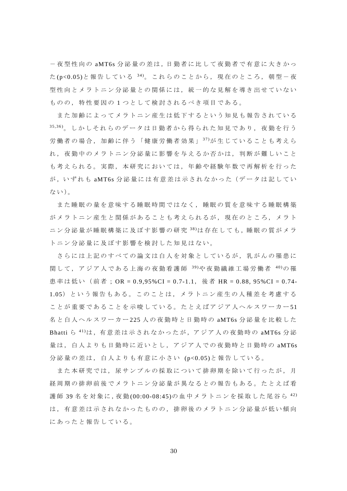-夜型性向の aMT6s 分 泌 量 の 差 は ,日 勤 者 に 比 し て 夜 勤 者 で 有 意 に 大 き か っ た(p<0.05)と報告している  $34$ )。これらのことから、現在のところ、朝型-夜 型性向とメラトニン分泌量との関係には,統一的な見解を導き出せていない ものの,特性要因の 1 つとして検討されるべき項目である。

また加齢によってメラトニン産生は低下するという知見も報告されている 35,36)。しかしそれらのデータは日勤者から得られた知見であり、夜勤を行う 労働者の場合,加齢に伴う「健康労働者効果」 37)が生じていることも考えら れ,夜勤中のメラトニン分泌量に影響を与えるか否かは,判断が難しいこと も考えられる。実際,本研究においては,年齢や経験年数で再解析を行った が,い ずれ も aMT6s 分泌量 に は有意 差 は示さ れ なかっ た( データ は 記して い ない)。

また睡眠の量を意味する睡眠時間ではなく,睡眠の質を意味する睡眠構築 がメラトニン産生と関係があることも考えられるが,現在のところ,メラト ニン分泌量が睡眠構築に及ぼす影響の研究  $38$ )は存在しても,睡眠の質がメラ トニン分泌量に及ぼす影響を検討した知見はない。

さらには上記のすべての論文は白人を対象としているが,乳がんの罹患に 関して,アジア人である上海の夜勤看護師 39)や夜勤繊維工場労働者 40)の 罹 患率は低い(前者; OR = 0.9,95%CI = 0.7-1.1, 後者 HR = 0.88, 95%CI = 0.74-1.05)という報告もある。このことは,メラトニン産生の人種差を考慮する ことが重要であることを示唆している。たとえばアジア人ヘルスワーカー51 名と白人ヘルスワーカー 225 人の夜勤時と日勤時の aMT6s 分泌量を比較した Bhatti ら  $41$ )は, 有意差は示されなかったが, アジア人の夜勤時の aMT6s 分泌 量は,白人よりも日勤時に近いとし,アジア人での夜勤時と日勤時の aMT6s 分泌量の差は,白人よりも有意に小さい (p<0.05)と報告している。

また本研究では、尿サンプルの採取について排卵期を除いて行ったが、月 経周期の排卵前後でメラトニン分泌量が異なるとの報告もある。たとえば看 護師 39名を対象に,夜勤(00:00-08:45)の血中メラトニンを採取した尾谷ら<sup>42)</sup> は,有意差は示されなかったものの,排卵後のメラトニン分泌量が低い傾向 にあったと報告している。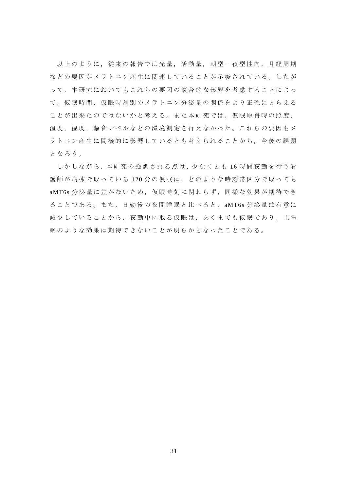以上のように,従来の報告では光量,活動量,朝型-夜型性向,月経周期 などの要因がメラトニン産生に関連していることが示唆されている。したが って,本研究においてもこれらの要因の複合的な影響を考慮することによっ て,仮眠時間,仮眠時刻別のメラトニン分泌量の関係をより正確にとらえる ことが出来たのではないかと考える。また本研究では、仮眠取得時の照度, 温度,湿度,騒音レベルなどの環境測定を行えなかった。これらの要因もメ ラトニン産生に間接的に影響しているとも考えられることから,今後の課題 となろう。

しかしながら、本研究の強調される点は、少なくとも16時間夜勤を行う看 護師が病棟で取っている 120 分の仮眠は,どのような時刻帯区分で取っても aMT6s 分泌量に差がないため、仮眠時刻に関わらず、同様な効果が期待でき ることである。また,日勤後の夜間睡眠と比べると, aMT6s 分泌量は有意に 減少していることから,夜勤中に取る仮眠は,あくまでも仮眠であり,主睡 眠のような効果は期待できないことが明らかとなったことである。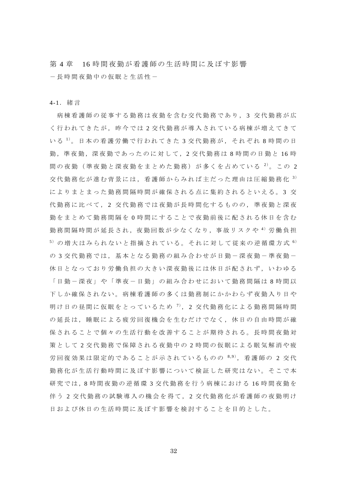第 4 章 16 時間夜勤が看護師の生活時間に及ぼす影響 -長時間夜勤中の仮眠と生活性-

4-1.緒言

 病棟看護師の従事する勤務は夜勤を含む交代勤務であり, 3 交代勤務が広 く行われてきたが,昨今では 2 交代勤務が導入されている病棟が増えてきて いる<sup>1)</sup>。日本の看護労働で行われてきた3交代勤務が,それぞれ8時間の日 勤,準夜勤,深夜勤であったのに対して,2 交代勤務は 8 時間の日勤と 16 時 間の夜勤(準夜勤と深夜勤をまとめた勤務)が多くを占めている 2)。この 2 交代勤務化が進む背景には,看護師からみれば主だった理由は圧縮勤務化 <sup>3</sup>) によりまとまった勤務間隔時間が確保される点に集約されるといえる。 3 交 代勤務に比べて, 2 交代勤務では夜勤が長時間化するものの,準夜勤と深夜 勤をまとめて勤務間隔を 0 時間にすることで夜勤前後に配される休日を含む 勤務間隔時間が延長され,夜勤回数が少なくなり,事故リスクや <sup>4</sup>) 労働負担  $5)$ の増大はみられないと指摘されている。それに対して従来の逆循環方式  $6)$ の 3 交代勤務では、基本となる勤務の組み合わせが日勤-深夜勤-準夜勤-休日となっており労働負担の大きい深夜勤後には休日が配されず,いわゆる 「日勤-深夜」や「準夜-日勤」の組み合わせにおいて勤務間隔は 8 時間以 下しか確保されない。病棟看護師の多くは勤務制にかかわらず夜勤入り日や 明け日の昼間に仮眠をとっているため <sup>7</sup>), 2 交代勤務化による勤務間隔時間 の延長は,睡眠による疲労回復機会を生むだけでなく,休日の自由時間が確 保されることで個々の生活行動を改善することが期待される。長時間夜勤対 策として 2 交代勤務で保障される夜勤中の 2 時間の仮眠による眠気解消や疲 労回復効果は限定的であることが示されているものの  $8.9$ ), 看護師の 2 交代 勤務化が生活行動時間に及ぼす影響について検証した研究はない。そこで本 研究では,8 時間夜勤の逆循環 3 交代勤務を行う病棟における 16 時間夜勤を 伴 う 2 交代勤務の試験導入の機会を得て, 2 交代勤務化が看護師の夜勤明け 日および休日の生活時間に及ぼす影響を検討することを目的とした。

32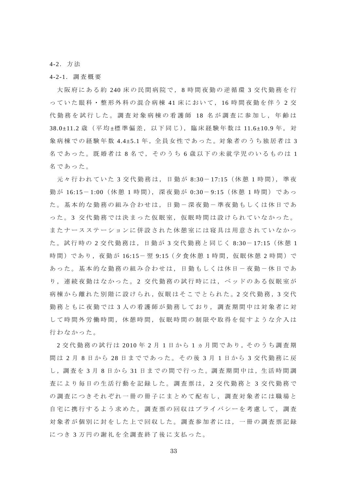4-2.方法

#### 4-2-1.調査概要

 大阪府にある約 240 床の民間病院で, 8 時間夜勤の逆循環 3 交代勤務を行 っていた眼科・整形外科の混合病棟 41 床において, 16 時間夜勤を伴う 2 交 代勤務を試行した。調査対象病棟の看護師 18 名が調査に参加し、年齢は 38.0±11.2 歳 (平均 ±標 準 偏 差, 以 下 同 じ), 臨 床 経 験 年 数 は 11.6±10.9 年, 対 象病棟での経験年数 4.4±5.1 年, 全員女性であった。対象者のうち独居者は 3 名であった。既婚者は8名で、そのうち6歳以下の未就学児のいるものは1 名であった。

元々行われていた 3 交代勤務は, 日勤が 8:30-17:15 (休憩 1 時間), 準夜 勤 が 16:15- 1:00(休憩 1 時間),深夜勤が 0:30- 9:15(休憩 1 時間)であっ た。基本的な勤務の組み合わせは、日勤ー深夜勤ー準夜勤もしくは休日であ った。3 交代勤務では決まった仮眠室, 仮眠時間は設けられていなかった。 またナースステーションに併設された休憩室には寝具は用意されていなかっ た。試行時の 2 交代勤務は,日勤が 3 交代勤務と同じく 8:30- 17:15(休憩 1 時間)であり,夜勤が 16:15-翌 9:15 (夕食休憩 1 時間,仮眠休憩 2 時間)で あった。基本的な勤務の組み合わせは、日勤もしくは休日一夜勤一休日であ り,連続夜勤はなかった。 2 交代勤務の試行時には,ベッドのある仮眠室が 病 棟 か ら 離 れ た 別 階 に 設 け ら れ , 仮 眠 は そ こ で と ら れ た 。 2 交 代 勤 務 , 3 交 代 勤務ともに夜勤では 3 人の看護師が勤務しており,調査期間中は対象者に対 して時間外労働時間,休憩時間,仮眠時間の制限や取得を促すような介入は 行わなかった。

2 交代勤務の試行は 2010 年 2 月 1 日から 1 ヵ 月 間 で あ り ,そ の う ち 調 査 期 間 は 2 月 8 日から 28 日までであった。その後 3 月 1 日から 3 交代勤務に戻 し,調査を3月8日から31日までの間で行った。調査期間中は,生活時間調 査により毎日の生活行動を記録した。調査票は, 2 交代勤務と 3 交代勤務で の調査につきそれぞれ一冊の冊子にまとめて配布し,調査対象者には職場と 自宅に携行するよう求めた。調査票の回収はプライバシーを考慮して,調査 対象者が個別に封をした上で回収した。調査参加者には,一冊の調査票記録 につき 3 万円の謝礼を全調査終了後に支払った。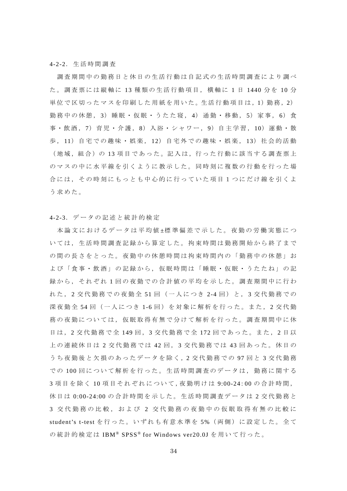#### 4-2-2.生活時間調査

調査期間中の勤務日と休日の生活行動は自記式の生活時間調査により調べ た。調査票には縦軸に 13 種類の生活行動項目,横軸に 1 日 1440 分 を 10 分 単位 で 区 切 っ た マ ス を 印 刷 し た 用 紙 を 用 い た 。生 活 行 動 項 目 は , 1) 勤 務 , 2) 勤務中の休憩, 3)睡眠・仮眠・うたた寝, 4)通勤・移動, 5)家事, 6)食 事・飲酒,7)育児・介護,8)入浴・シャワー,9)自主学習,10)運動・散 歩 , 11)自宅での趣味・娯楽, 12)自宅外での趣味・娯楽, 13)社会的活動 (地域,組合)の 13 項目であった。記入は,行った行動に該当する調査票上 のマスの中に水平線を引くように教示した。同時刻に複数の行動を行った場 合には,その時刻にもっとも中心的に行っていた項目1つにだけ線を引くよ う求めた。

#### 4-2-3.データの記述と統計的検定

本論文におけるデータは平均値±標準偏差で示した。夜勤の労働実態につ いては,生活時間調査記録から算定した。拘束時間は勤務開始から終了まで の間の長さをとった。夜勤中の休憩時間は拘束時間内の「勤務中の休憩」お よび「食事・飲酒」の記録から,仮眠時間は「睡眠・仮眠・うたたね」の記 録から,それぞれ 1 回の夜勤での合計値の平均を示した。調査期間中に行わ れた, 2 交代勤務での夜勤全 51 回(一人につき 2-4 回)と, 3 交代勤務での 深夜勤全 54 回(一人につき 1-6 回)を対象に解析を行った。また,2 交代勤 務の夜勤については,仮眠取得有無で分けて解析を行った。調査期間中に休 日は, 2 交代勤務で全 149 回, 3 交代勤務で全 172 回であった。また, 2 日以 上の連続休日は 2 交代勤務では 42 回 , 3 交代勤務では 43 回あった。休日の うち夜勤後と欠損のあったデータを除く,2 交代勤務での 97 回 と 3 交 代 勤 務 での100回について解析を行った。生活時間調査のデータは、勤務に関する 3 項目を除く 10 項目それぞれについて,夜勤明けは 9:00-24:00 の合計時間, 休日は 0:00-24:00 の合計時間を示した。生活時間調査データは 2 交代勤務と 3 交代勤務の比較,および 2 交代勤務の夜勤中の仮眠取得有無の比較に student's t-test を行った。いずれも有意水準を 5%(両側)に設定した。全て の統計的検定は IBM® SPSS® for Windows ver20.0J を用いて行った。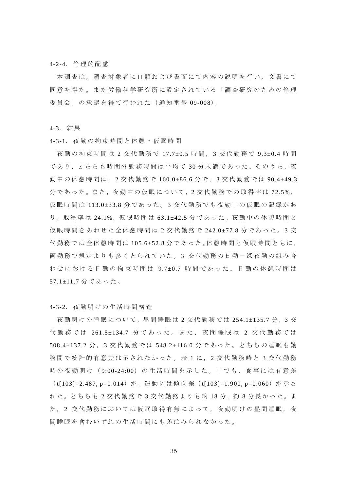#### 4-2-4.倫理的配慮

本調査は,調査対象者に口頭および書面にて内容の説明を行い,文書にて 同意を得た。また労働科学研究所に設定されている「調査研究のための倫理 委員会」の承認を得て行われた(通知番号 09-008)。

4-3.結果

4-3-1.夜勤の拘束時間と休憩・仮眠時間

 夜勤の拘束時間は 2 交代勤務で 17.7±0.5 時間, 3 交代勤務で 9.3±0.4 時 間 であり, どちらも時間外勤務時間は平均で 30 分未満であった。そのうち, 夜 勤中の休憩時間は, 2 交代勤務で 160.0±86.6 分で, 3 交代勤務では 90.4±49.3 分であった。また,夜勤中の仮眠について,2交代勤務での取得率は72.5%, 仮眠時間は 113.0±33.8 分であった。 3 交代勤務でも夜勤中の仮眠の記録があ り, 取得率は 24.1%, 仮眠時間は 63.1±42.5 分であった。夜勤中の休憩時間と 仮眠時間をあわせた全休憩時間は 2 交代勤務で 242.0±77.8 分であった。 3 交 代勤務では全休憩時間は 105.6±52.8 分 で あ っ た 。休 憩 時 間 と 仮 眠 時 間 と も に , 両勤務で規定よりも多くとられていた。 3 交代勤務の日勤-深夜勤の組み合 わせにおける日勤の拘束時間は 9.7±0.7 時間であった。日勤の休憩時間は 57.1±11.7 分であった。

4-3-2.夜勤明けの生活時間構造

夜勤明けの睡眠について, 昼間睡眠は2交代勤務では 254.1±135.7分, 3交 代勤務では 261.5±134.7 分であった。また,夜間睡眠は 2 交代勤務では 508.4±137.2 分 , 3 交代勤務では 548.2±116.0 分であった。どちらの睡眠も勤 務間で統計的有意差は示されなかった。表 1 に , 2 交代勤務時と 3 交代勤務 時の夜勤明け (9:00-24:00) の生活時間を示した。中でも、食事には有意差

( t[103]=2.487, p=0.014)が,運動には傾向差( t[103]=1.900, p=0.060)が示さ れた。どちらも2交代勤務で3交代勤務よりも約18分,約8分長かった。ま た, 2 交代勤務においては仮眠取得有無によって, 夜勤明けの昼間睡眠, 夜 間睡眠を含むいずれの生活時間にも差はみられなかった。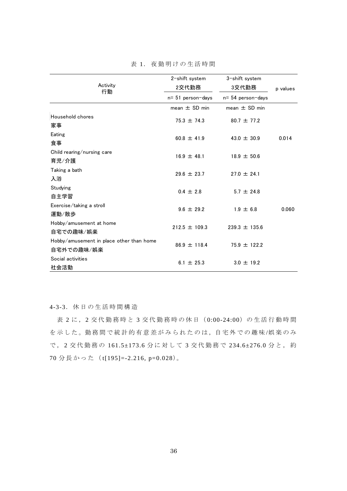| Activity<br>行動                                         | 2-shift system    | 3-shift system       |       |
|--------------------------------------------------------|-------------------|----------------------|-------|
|                                                        | 2交代勤務             | 3交代勤務<br>p values    |       |
|                                                        | n= 51 person-days | $n = 54$ person-days |       |
|                                                        | mean $\pm$ SD min | mean $\pm$ SD min    |       |
| Household chores<br>家事                                 | 75.3 $\pm$ 74.3   | $80.7 \pm 77.2$      |       |
| Eating<br>食事                                           | 60.8 $\pm$ 41.9   | 43.0 $\pm$ 30.9      | 0.014 |
| Child rearing/nursing care<br>育児/介護                    | 16.9 $\pm$ 48.1   | $18.9 \pm 50.6$      |       |
| Taking a bath<br>入浴                                    | $29.6 \pm 23.7$   | $27.0 \pm 24.1$      |       |
| Studying<br>自主学習                                       | $0.4 \pm 2.8$     | $5.7 \pm 24.8$       |       |
| Exercise/taking a stroll<br>運動/散歩                      | $9.6 \pm 29.2$    | $1.9 \pm 6.8$        | 0.060 |
| Hobby/amusement at home<br>自宅での趣味/娯楽                   | $212.5 \pm 109.3$ | $239.3 \pm 135.6$    |       |
| Hobby/amusement in place other than home<br>自宅外での趣味/娯楽 | $86.9 \pm 118.4$  | 75.9 $\pm$ 122.2     |       |
| Social activities<br>社会活動                              | $6.1 \pm 25.3$    | $3.0 \pm 19.2$       |       |

表 1.夜勤明けの生活時間

4-3-3.休日の生活時間構造

表 2 に, 2 交代勤務時と 3 交代勤務時の休日 (0:00-24:00) の生活行動時間 を示した。勤務間で統計的有意差がみられたのは、自宅外での趣味/娯楽のみ で, 2 交代勤務の 161.5±173.6 分に対して 3 交代勤務で 234.6±276.0 分と, 約 70 分長かった( t[195]=-2.216, p=0.028)。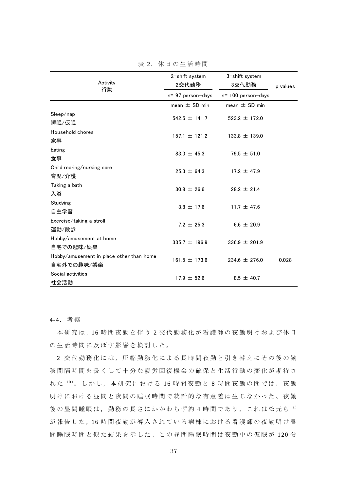| Activity<br>行動                                         | 2-shift system<br>2交代勤務 | 3-shift system<br>3交代勤務 |          |  |
|--------------------------------------------------------|-------------------------|-------------------------|----------|--|
|                                                        | n= 97 person-days       | $n = 100$ person-days   | p values |  |
|                                                        | mean $\pm$ SD min       | mean $\pm$ SD min       |          |  |
| Sleep/nap<br>睡眠/仮眠                                     | $542.5 \pm 141.7$       | $523.2 \pm 172.0$       |          |  |
| Household chores<br>家事                                 | $157.1 \pm 121.2$       | $133.8 \pm 139.0$       |          |  |
| Eating<br>食事                                           | $83.3 \pm 45.3$         | 79.5 $\pm$ 51.0         |          |  |
| Child rearing/nursing care<br>育児/介護                    | $25.3 \pm 64.3$         | 17.2 $\pm$ 47.9         |          |  |
| Taking a bath<br>入浴                                    | $30.8 \pm 26.6$         | $28.2 \pm 21.4$         |          |  |
| Studying<br>自主学習                                       | $3.8 \pm 17.6$          | 11.7 $\pm$ 47.6         |          |  |
| Exercise/taking a stroll<br>運動/散歩                      | 7.2 $\pm$ 25.3          | $6.6 \pm 20.9$          |          |  |
| Hobby/amusement at home<br>自宅での趣味/娯楽                   | $335.7 \pm 196.9$       | $336.9 \pm 201.9$       |          |  |
| Hobby/amusement in place other than home<br>自宅外での趣味/娯楽 | $161.5 \pm 173.6$       | $234.6 \pm 276.0$       | 0.028    |  |
| Social activities<br>社会活動                              | $17.9 \pm 52.6$         | $8.5 \pm 40.7$          |          |  |

表 2. 休日の生活時間

4-4.考察

本研究は,16 時間夜勤を伴う 2 交代勤務化が看護師の夜勤明けおよび休日 の生活時間に及ぼす影響を検討した。

2 交代勤務化には、圧縮勤務化による長時間夜勤と引き替えにその後の勤 務間隔時間を長くして十分な疲労回復機会の確保と生活行動の変化が期待さ れた $10$ 。しかし、本研究における 16時間夜勤と 8時間夜勤の間では、夜勤 明けにおける昼間と夜間の睡眠時間で統計的な有意差は生じなかった。夜勤 後の昼間睡眠は、勤務の長さにかかわらず約4時間であり、これは松元ら 8) が報告した,16 時間夜勤が導入されている病棟における看護師の夜勤明け昼 間睡眠時間と似た結果を示した。この昼間睡眠時間は夜勤中の仮眠が 120 分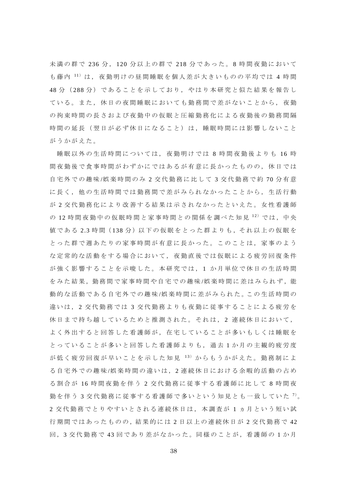未満の群で 236 分 , 120 分以上の群で 218 分であった。 8 時間夜勤において も藤内 11) は、夜勤明けの昼間睡眠を個人差が大きいものの平均では 4 時間 48 分 ( 288 分)であることを示しており,やはり本研究と似た結果を報告し ている。また,休日の夜間睡眠においても勤務間で差がないことから,夜勤 の拘束時間の長さおよび夜勤中の仮眠と圧縮勤務化による夜勤後の勤務間隔 時間の延長(翌日が必ず休日になること)は,睡眠時間には影響しないこと がうかがえた。

睡眠以外の生活時間については,夜勤明けでは 8 時間夜勤後よりも 16 時 間夜勤後で食事時間がわずかにではあるが有意に長かったものの,休日では 自宅外での趣味 /娯楽時間のみ 2 交代勤務に比して 3 交代勤務で約 70 分有意 に長く,他の生活時間では勤務間で差がみられなかったことから,生活行動 が 2 交代勤務化により改善する結果は示されなかったといえた。女性看護師 の 12 時間夜勤中の仮眠時間と家事時間との関係を調べた知見  $^{12)}$  では, 中央 値である 2.3 時間(138 分)以下の仮眠をとった群よりも, それ以上の仮眠を とった群で週あたりの家事時間が有意に長かった。このことは,家事のよう な定常的な活動をする場合において,夜勤直後では仮眠による疲労回復条件 が強く影響することを示唆した。本研究では, 1 か月単位で休日の生活時間 をみた結果,勤務間で家事時間や自宅での趣味/娯楽時間に差はみられず,能 動的な活動である自宅外での趣味/娯楽時間に差がみられた。この生活時間の 違いは, 2 交代勤務では 3 交代勤務よりも夜勤に従事することによる疲労を 休日まで持ち越しているためと推測された。それは, 2 連続休日において, よく外出すると回答した看護師が,在宅していることが多いもしくは睡眠を とっていることが多いと回答した看護師よりも,過去 1 か月の主観的疲労度 が低く疲労回復が早いことを示した知見  $^{13)}$  からもうかがえた。勤務制によ る自宅外での趣味 /娯楽時間の違いは,2 連続休日における余暇的活動の占め る割合が 16 時間夜勤を伴う 2 交代勤務に従事する看護師に比して 8 時間夜 勤を伴う 3 交代勤務に従事する看護師で多いという知見とも一致していた <sup>7</sup>)。 2 交代勤務でとりやすいとされる連続休日は,本調査が 1 ヵ月という短い試 行期間ではあったものの,結果的には2日以上の連続休日が2交代勤務で42 回, 3 交代勤務で 43 回であり差がなかった。同様のことが, 看護師の1か月

38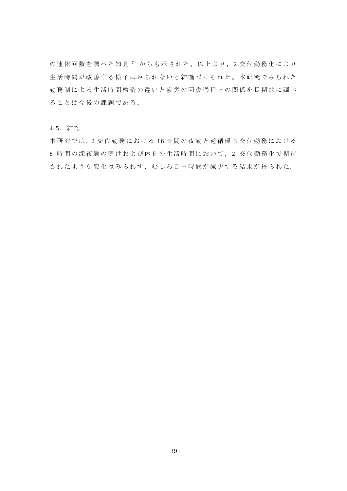の連休回数を調べた知見 <sup>7</sup>) からも示された。以上より, 2 交代勤務化により 生活時間が改善する様子はみられないと結論づけられた。本研究でみられた 勤務制による生活時間構造の違いと疲労の回復過程との関係を長期的に調べ ることは今後の課題である。

### 4-5.結語

本研究では,2 交代勤務における 16 時間の夜勤と逆循環 3 交代勤務における 8 時間の深夜勤の明けおよび休日の生活時間において, 2 交代勤務化で期待 されたような変化はみられず,むしろ自由時間が減少する結果が得られた。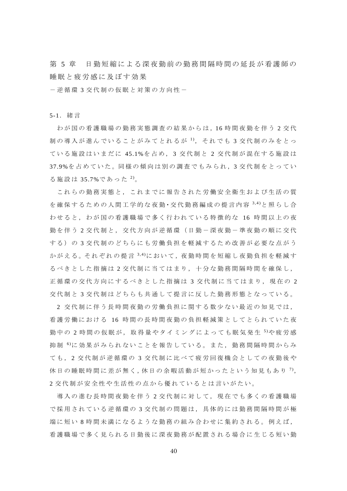第5章 日勤短縮による深夜勤前の勤務間隔時間の延長が看護師の 睡眠と疲労感に及ぼす効果

-逆循環 3 交代制の仮眠と対策の方向性-

5-1.緒言

わが国の看護職場の勤務実態調査の結果からは,16時間夜勤を伴う2交代 制の導入が進んでいることがみてとれるが <sup>1</sup>), それでも 3 交代制のみをとっ ている施設はいまだに 45.1%を占め, 3 交代制と 2 交代制が混在する施設は 37.9%を 占めていた。同様の傾向は別の調査でもみられ, 3 交代制をとってい る施設は 35.7%であった<sup>2)</sup>。

これらの勤務実態と,これまでに報告された労働安全衛生および生活の質 を 確 保 す る た め の 人 間 工 学 的 な 夜 勤 ・ 交 代 勤 務 編 成 の 提 言 内 容 3,4) と 照 ら し 合 わせると,わが国の看護職場で多く行われている特徴的な 16 時間以上の夜 勤を伴う 2 交代制と,交代方向が逆循環(日勤-深夜勤-準夜勤の順に交代 する)の 3 交代制のどちらにも労働負担を軽減するため改善が必要な点がう かが え る 。 そ れ ぞ れ の 提 言 <sup>3,4)</sup>に お い て , 夜 勤 時 間 を 短 縮 し 夜 勤 負 担 を 軽 減 す るべきとした指摘は 2 交代制に当てはまり,十分な勤務間隔時間を確保し, 正循環の交代方向にするべきとした指摘は 3 交代制に当てはまり, 現在の 2 交代制と 3 交代制はどちらも共通して提言に反した勤務形態となっている。

2 交代制に伴う長時間夜勤の労働負担に関する数少ない最近の知見では, 看護労働における 16 時間の長時間夜勤の負担軽減策としてとられていた夜 勤中の 2 時間の仮眠が, 取得量やタイミングによっても眠気発生 <sup>5</sup> や疲労感 抑 制 6 )に効果がみられないことを報告している。また,勤務間隔時間からみ ても, 2 交代制が逆循環の 3 交代制に比べて疲労回復機会としての夜勤後や 休日の睡眠時間に差が無く,休日の余暇活動が短かったという知見もあり<sup>7)</sup>, 2 交代制が安全性や生活性の点から優れているとは言いがたい。

導入の進む長時間夜勤を伴う 2 交代制に対して,現在でも多くの看護職場 で採用されている逆循環の 3 交代制の問題は,具体的には勤務間隔時間が極 端に短い 8 時間未満になるような勤務の組み合わせに集約される。例えば, 看護職場で多く見られる日勤後に深夜勤務が配置される場合に生じる短い勤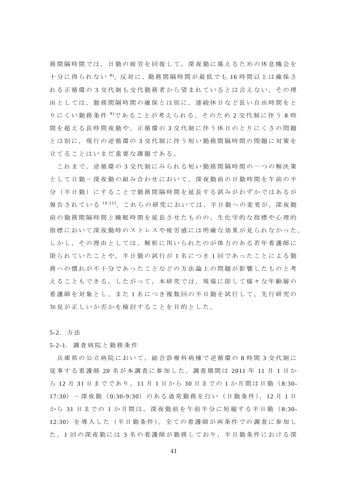務間隔時間では,日勤の疲労を回復して,深夜勤に堪えるための休息機会を 十分に得られない 8)。反対に,勤務間隔時間が最低でも 16 時間以上は確保さ れる正循環の 3 交代制も交代勤務者から望まれているとは言えない。その理 由としては,勤務間隔時間の確保とは別に,連続休日など長い自由時間をと りにくい勤務条件 9 )であることが考えられる。そのため 2 交代制に伴う 8 時 間を超える長時間夜勤や,正循環の 3 交代制に伴う休日のとりにくさの問題 とは別に,現行の逆循環の 3 交代制に伴う短い勤務間隔時間の問題に対策を 立てることはいまだ重要な課題である。

これまで,逆循環の 3 交代制にみられる短い勤務間隔時間の一つの解決策 として日勤-深夜勤の組み合わせにおいて,深夜勤前の日勤時間を午前の半 分(半日勤)にすることで勤務間隔時間を延長する試みがわずかではあるが 報告されている 10,11)。これらの研究においては,半日勤への変更が,深夜勤 前の勤務間隔時間と睡眠時間を延長させたものの,生化学的な指標や心理的 指標において深夜勤時のストレスや疲労感には明確な効果が見られなかった。 しかし,その理由としては,解析に用いられたのが体力のある若年看護師に 限られていたことや,半日勤の試行が 1 名につき 1 回であったことによる勤 務への慣れが不十分であったことなどの方法論上の問題が影響したものと考 えることもできる。したがって,本研究では,現場に即して様々な年齢層の 看護師を対象とし,また 1 名につき複数回の半日勤を試行して,先行研究の 知見が正しいか否かを検討することを目的とした。

5-2.方法

5-2-1.調査病院と勤務条件

兵庫県の公立病院において、総合診療科病棟で逆循環の8時間3交代制に 従事する看護師 20 名が本調査に参加した。調査期間は 2011 年 11 月 1 日 か ら 12 月 31 日までであり, 11 月 1 日から 30 日までの 1 か月間は日勤( 8:30- 17:30)-深夜勤( 0:30-9:30)のある通常勤務を行い(日勤条件), 12 月 1 日 か ら 31 日までの 1 か月間は,深夜勤前を午前半分に短縮する半日勤( 8:30- 12:30) を導入した (半日勤条件)。全ての看護師が両条件での調査に参加し た。1回の深夜勤には3名の看護師が勤務しており、半日勤条件における深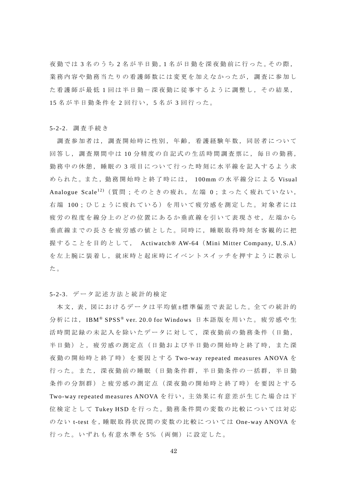夜勤では 3 名のうち 2 名が半日勤,1 名 が 日 勤 を 深 夜 勤 前 に 行 っ た 。そ の 際 , 業務内容や勤務当たりの看護師数には変更を加えなかったが,調査に参加し た看護師が最低 1 回は半日勤-深夜勤に従事するように調整し,その結果, 15 名が半日勤条件を 2 回行い, 5 名 が 3 回行った。

#### 5-2-2.調査手続き

調査参加者は,調査開始時に性別,年齢,看護経験年数,同居者について 回答し,調査期間中は 10分精度の自記式の生活時間調査票に,毎日の勤務, 勤務中の休憩,睡眠の 3 項目について行った時刻に水平線を記入するよう求 められた。また、勤務開始時と終了時には、 100mm の水平線分による Visual Analogue Scale<sup>12)</sup> (質問;そのときの疲れ, 左端 0;まったく疲れていない, 右端 100: ひじょうに疲れている)を用いて疲労感を測定した。対象者には 疲労の程度を線分上のどの位置にあるか垂直線を引いて表現させ,左端から 垂直線までの長さを疲労感の値とした。同時に,睡眠取得時刻を客観的に把 握することを目的として, Actiwatch® AW-64( Mini Mitter Company, U.S.A) を左上腕に装着し,就床時と起床時にイベントスイッチを押すように教示し た。

## 5-2-3.データ記述方法と統計的検定

本文,表,図におけるデータは平均値±標準偏差で表記した。全ての統計的 分析には, IBM® SPSS® ver. 20.0 for Windows 日本語版を用いた。疲労感や生 活時間記録の未記入を除いたデータに対して,深夜勤前の勤務条件(日勤, 半日勤)と,疲労感の測定点(日勤および半日勤の開始時と終了時,また深 夜勤の開始時と終了時)を要因とする Two-way repeated measures ANOVA を 行った。また、深夜勤前の睡眠(日勤条件群,半日勤条件の一括群,半日勤 条件の分割群)と疲労感の測定点(深夜勤の開始時と終了時)を要因とする Two-way repeated measures ANOVA を 行 い ,主 効 果 に 有 意 差 が 生 じ た 場 合 は 下 位検定として Tukey HSD を 行 っ た 。勤 務 条 件 間 の 変 数 の 比 較 に つ い て は 対 応 のない t-test を,睡眠取得状況間の変数の比較については One-way ANOVA を 行った。いずれも有意水準を 5% (両側)に設定した。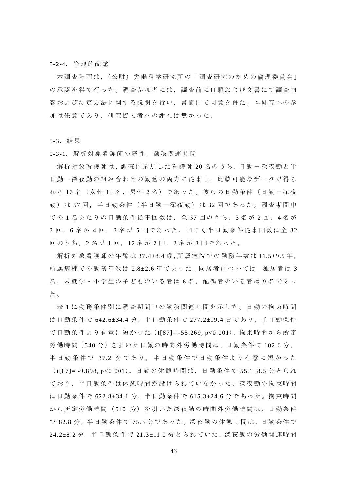5-2-4.倫理的配慮

本調査計画は, (公財) 労働科学研究所の「調査研究のための倫理委員会」 の承認を得て行った。調査参加者には,調査前に口頭および文書にて調査内 容および測定方法に関する説明を行い,書面にて同意を得た。本研究への参 加は任意であり,研究協力者への謝礼は無かった。

5-3.結果

5-3-1.解析対象看護師の属性,勤務関連時間

解析対象看護師は,調査に参加した看護師 20名のうち,日勤ー深夜勤と半 日勤ー深夜勤の組み合わせの勤務の両方に従事し、比較可能なデータが得ら れた 16名 (女性 14名, 男性 2名)であった。彼らの日勤条件(日勤ー深夜 勤)は57回,半日勤条件(半日勤ー深夜勤)は32回であった。調査期間中 で の 1 名あたりの日勤条件従事回数は,全 57 回のうち, 3 名 が 2 回 , 4 名 が 3 回 , 6 名 が 4 回 , 3 名 が 5 回であった。同じく半日勤条件従事回数は全 32 回のうち, 2 名 が 1 回 , 12 名 が 2 回 , 2 名 が 3 回であった。

解析対象看護師の年齢は 37.4±8.4 歳, 所属病院での勤務年数は 11.5±9.5 年, 所属病棟での勤務年数は 2.8±2.6年であった。同居者については、独居者は 3 名,未就学・小学生の子どものいる者は6名,配偶者のいる者は9名であっ た。

表 1 に勤務条件別に調査期間中の勤務関連時間を示した。日勤の拘束時間 は日勤条件で 642.6±34.4 分,半日勤条件で 277.2±19.4 分であり,半日勤条件 で日勤条件より有意に短かった (t[87]=-55.269, p<0.001)。拘束時間から所定 労働時間 (540分) を引いた日勤の時間外労働時間は,日勤条件で 102.6分, 半日勤条件で 37.2 分であり,半日勤条件で日勤条件より有意に短かった ( t[87]= -9.898, p<0.001)。日勤の休憩時間は,日勤条件で 55.1±8.5 分とられ ており,半日勤条件は休憩時間が設けられていなかった。深夜勤の拘束時間 は日勤条件で 622.8±34.1 分,半日勤条件で 615.3±24.6 分であった。拘束時間 から所定労働時間(540分)を引いた深夜勤の時間外労働時間は,日勤条件 で 82.8 分, 半日勤条件で 75.3 分であった。深夜勤の休憩時間は, 日勤条件で 24.2±8.2 分, 半日勤条件で 21.3±11.0 分とられていた。深夜勤の労働関連時間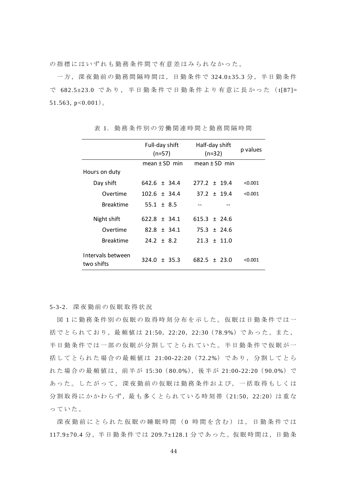の指標にはいずれも勤務条件間で有意差はみられなかった。

一方,深夜勤前の勤務間隔時間は,日勤条件で 324.0±35.3 分,半日勤条件 で 682.5±23.0 であり,半日勤条件で日勤条件より有意に長かった( t[87]= 51.563,  $p<0.001$ ).

|                                 | Full-day shift<br>$(n=57)$ | Half-day shift<br>$(n=32)$ | p values |
|---------------------------------|----------------------------|----------------------------|----------|
|                                 | $mean + SD$ min            | mean $\pm$ SD min          |          |
| Hours on duty                   |                            |                            |          |
| Day shift                       | $642.6 \pm 34.4$           | $277.2 + 19.4$             | < 0.001  |
| Overtime                        | $102.6 \pm 34.4$           | $37.2 \pm 19.4$            | < 0.001  |
| <b>Breaktime</b>                | 55.1 $\pm$ 8.5             |                            |          |
| Night shift                     | $622.8 \pm 34.1$           | $615.3 + 24.6$             |          |
| Overtime                        | $82.8 \pm 34.1$            | $75.3 \pm 24.6$            |          |
| <b>Breaktime</b>                | $24.2 \pm 8.2$             | $21.3 \pm 11.0$            |          |
| Intervals between<br>two shifts | $+35.3$<br>324.0           | $682.5 + 23.0$             | < 0.001  |

表 1.勤務条件別の労働関連時間と勤務間隔時間

5-3-2.深夜勤前の仮眠取得状況

図 1 に勤務条件別の仮眠の取得時刻分布を示した。仮眠は日勤条件では一 括でとられており,最頻値は 21:50,22:20,22:30( 78.9%)であった。また, 半日勤条件では一部の仮眠が分割してとられていた。半日勤条件で仮眠が一 括してとられた場合の最頻値は 21:00-22:20( 72.2%)であり,分割してとら れた場合の最頻値は,前半が 15:30( 80.0%),後半が 21:00-22:20( 90.0%)で あった。したがって,深夜勤前の仮眠は勤務条件および,一括取得もしくは 分割取得にかかわらず,最も多くとられている時刻帯 (21:50, 22:20)は重な っていた。

深夜勤前にとられた仮眠の睡眠時間(0時間を含む)は,日勤条件では 117.9±70.4 分, 半日勤条件では 209.7±128.1 分であった。仮眠時間は, 日勤条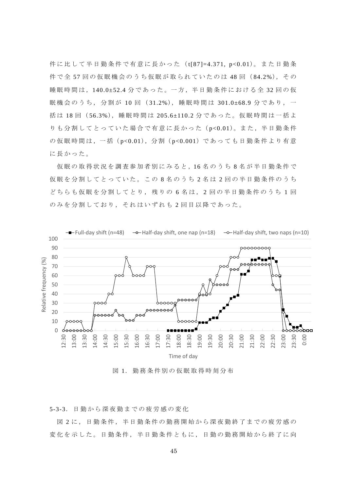件に比して半日勤条件で有意に長かった (t[87]=4.371, p<0.01)。また日勤条 件で全 57 回の仮眠機会のうち仮眠が取られていたのは 48 回( 84.2%),その 睡眠時間は,140.0±52.4 分であった。一方,半日勤条件における全 32 回の仮 眠機会のうち, 分割が 10 回 (31.2%), 睡眠時間は 301.0±68.9 分であり, 一 括 は 18 回( 56.3%),睡眠時間は 205.6±110.2 分であった。仮眠時間は一括よ りも分割してとっていた場合で有意に長かった (p<0.01)。また, 半日勤条件 の仮眠時間は, 一括 (p<0.01), 分割 (p<0.001) であっても日勤条件より有意 に長かった。

仮眠の取得状況を調査参加者別にみると,16 名のうち 8 名が半日勤条件で 仮眠を分割してとっていた。この 8 名のうち 2 名 は 2 回の半日勤条件のうち どちらも仮眠を分割してとり,残りの 6 名は, 2 回の半日勤条件のうち 1 回 のみを分割しており,それはいずれも 2 回目以降であった。



図 1.勤務条件別の仮眠取得時刻分布

5-3-3.日勤から深夜勤までの疲労感の変化

図 2 に,日勤条件,半日勤条件の勤務開始から深夜勤終了までの疲労感の 変化を示した。日勤条件,半日勤条件ともに,日勤の勤務開始から終了に向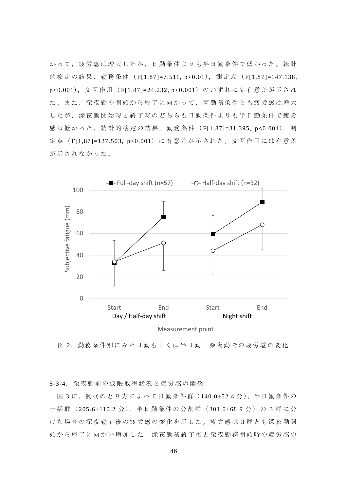かって,疲労感は増大したが,日勤条件よりも半日勤条件で低かった。統計 的検定の結果, 勤務条件 (F[1,87]=7.511, p<0.01), 測定点 (F[1,87]=147.138, p<0.001), 交互作用 (F[1,87]=24.232, p<0.001) のいずれにも有意差が示され た。また,深夜勤の開始から終了に向かって,両勤務条件とも疲労感は増大 したが,深夜勤開始時と終了時のどちらも日勤条件よりも半日勤条件で疲労 感は低かった。統計的検定の結果,勤務条件( F[1,87]=31.395, p<0.001), 測 定点 (F[1,87]=127.503, p<0.001)に有意差が示された。交互作用には有意差 が示されなかった。



Measurement point

図 2. 勤務条件別にみた日勤もしくは半日勤ー深夜勤での疲労感の変化

5-3-4.深夜勤前の仮眠取得状況と疲労感の関係

図 3 に,仮眠のとり方によって日勤条件群 (140.0±52.4 分), 半日勤条件の 一括群 (205.6±110.2 分), 半日勤条件の分割群 (301.0±68.9 分) の 3 群に分 けた場合の深夜勤前後の疲労感の変化を示した。疲労感は 3 群とも深夜勤開 始から終了に向かい増加した。深夜勤務終了後と深夜勤務開始時の疲労感の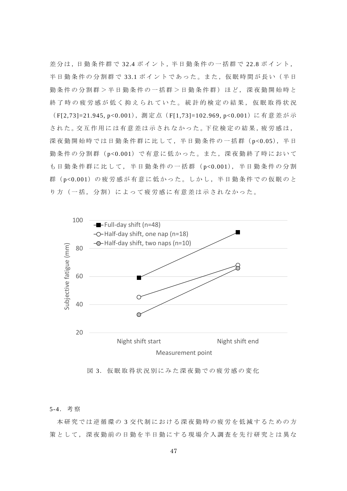差分は,日勤条件群で 32.4 ポイント,半日勤条件の一括群で 22.8 ポイント, 半日勤条件の分割群で 33.1 ポイントであった。また,仮眠時間が長い(半日 勤条件の分割群>半日勤条件の一括群>日勤条件群)ほど,深夜勤開始時と 終了時の疲労感が低く抑えられていた。統計的検定の結果,仮眠取得状況 (F[2,73]=21.945, p<0.001), 測定点 (F[1,73]=102.969, p<0.001) に有意差が示 された。交互作用には有意差は示されなかった。下位検定の結果,疲労感は, 深夜勤開始時では日勤条件群に比して, 半日勤条件の一括群 (p<0.05), 半日 勤条件の分割群( p<0.001)で有意に低かった。また,深夜勤終了時において も日勤条件群に比して,半日勤条件の一括群( p<0.001),半日勤条件の分割 群(p<0.001)の疲労感が有意に低かった。しかし、半日勤条件での仮眠のと り方(一括,分割)によって疲労感に有意差は示されなかった。



図 3. 仮眠取得状況別にみた深夜勤での疲労感の変化

### 5-4.考察

本研究では逆循環の 3 交代制における深夜勤時の疲労を低減するための方 策として,深夜勤前の日勤を半日勤にする現場介入調査を先行研究とは異な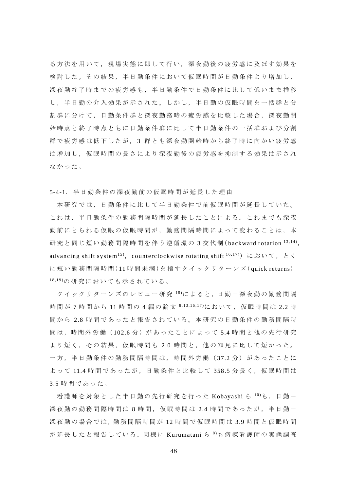る方法を用いて,現場実態に即して行い,深夜勤後の疲労感に及ぼす効果を 検討した。その結果,半日勤条件において仮眠時間が日勤条件より増加し, 深夜勤終了時までの疲労感も,半日勤条件で日勤条件に比して低いまま推移 し,半日勤の介入効果が示された。しかし,半日勤の仮眠時間を一括群と分 割群に分けて,日勤条件群と深夜勤務時の疲労感を比較した場合,深夜勤開 始時点と終了時点ともに日勤条件群に比して半日勤条件の一括群および分割 群で疲労感は低下したが, 3 群とも深夜勤開始時から終了時に向かい疲労感 は増加し,仮眠時間の長さにより深夜勤後の疲労感を抑制する効果は示され なかった。

5-4-1.半日勤条件の深夜勤前の仮眠時間が延長した理由

本研究では,日勤条件に比して半日勤条件で前仮眠時間が延長していた。 これは,半日勤条件の勤務間隔時間が延長したことによる。これまでも深夜 勤前にとられる仮眠の仮眠時間が,勤務間隔時間によって変わることは,本 研究と同じ短い勤務間隔時間を伴う逆循環の 3 交代制( backward rotation 13,14), advancing shift system<sup>15</sup>), counterclockwise rotating shift <sup>16,17</sup>) において, とく に短い勤務間隔時間(11時間未満)を指すクイックリターンズ(quick returns) 18,19)の研究においても示されている。

クイックリターンズのレビュー研究  $18$ )によると,日勤ー深夜勤の勤務間隔 時間が 7 時間から 11 時間の 4 編の論文 8,13,16,17)において、仮眠時間は 2.2 時 間から 2.8 時間であったと報告されている。本研究の日勤条件の勤務間隔時 間は,時間外労働(102.6分)があったことによって 5.4 時間と他の先行研究 より短く,その結果,仮眠時間も 2.0 時間と,他の知見に比して短かった。 一方,半日勤条件の勤務間隔時間は,時間外労働( 37.2 分)があったことに よって 11.4 時間であったが,日勤条件と比較して 358.5 分長く,仮眠時間は 3.5 時間であった。

看護師を対象とした半日勤の先行研究を行った Kobayashi ら 10)も, 日勤-深夜勤の勤務間隔時間は 8 時間,仮眠時間は 2.4 時間であったが,半日勤ー 深夜勤の場合では,勤務間隔時間が 12 時間で仮眠時間は 3.9 時間と仮眠時間 が 延 長 し た と 報 告 し て い る 。同 様 に Kurumatani ら 8 )も病棟看護師の実態調査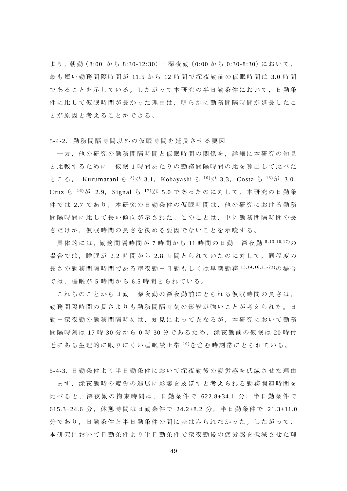より, 朝勤(8:00 から 8:30-12:30) 一深夜勤(0:00 から 0:30-8:30)において, 最も短い勤務間隔時間が 11.5 から 12 時間で深夜勤前の仮眠時間は 3.0 時間 であることを示している。したがって本研究の半日勤条件において,日勤条 件に比して仮眠時間が長かった理由は,明らかに勤務間隔時間が延長したこ とが原因と考えることができる。

5-4-2.勤務間隔時間以外の仮眠時間を延長させる要因

一方,他の研究の勤務間隔時間と仮眠時間の関係を,詳細に本研究の知見 と比較するために,仮眠 1 時間あたりの勤務間隔時間の比を算出して比べた ところ, Kurumatani ら  $8\pi$  3.1, Kobayashi ら  $10\pi$  3.3, Costa ら  $13\pi$  3.0, Cruz ら<sup>16</sup>)が 2.9, Signal ら<sup>17</sup>)が 5.0 であったのに対して, 本研究の日勤条 件では 2.7 であり,本研究の日勤条件の仮眠時間は,他の研究における勤務 間隔時間に比して長い傾向が示された。このことは,単に勤務間隔時間の長 さだけが,仮眠時間の長さを決める要因でないことを示唆する。

具体的には, 勤務間隔時間が7時間から 11 時間の日勤ー深夜勤 8,13,16,17)の 場合では,睡眠が 2.2 時間から 2.8 時間とられていたのに対して,同程度の 長さの勤務間隔時間である準夜勤ー日勤もしくは早朝勤務 13,14,16,21-23)の場合 では,睡眠が 5 時間から 6.5 時間とられている。

これらのことから日勤ー深夜勤の深夜勤前にとられる仮眠時間の長さは, 勤務間隔時間の長さよりも勤務間隔時刻の影響が強いことが考えられた。日 勤-深夜勤の勤務間隔時刻は,知見によって異なるが,本研究において勤務 間隔時刻は 17 時 30 分から 0 時 30 分であるため,深夜勤前の仮眠は 20 時 付 近にある生理的に眠りにくい睡眠禁止帯 20)を含む時刻帯にとられている。

5-4-3. 日勤条件より半日勤条件において深夜勤後の疲労感を低減させた理由 まず,深夜勤時の疲労の進展に影響を及ぼすと考えられる勤務関連時間を 比べると,深夜勤の拘束時間は,日勤条件で 622.8±34.1 分,半日勤条件で 615.3±24.6 分,休憩時間は日勤条件で 24.2±8.2 分,半日勤条件で 21.3±11.0 分であり,日勤条件と半日勤条件の間に差はみられなかった。したがって, 本研究において日勤条件と勤条件で深夜勤後の疲労感を低減させた理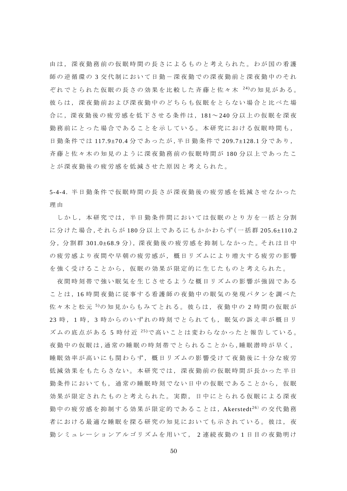由は,深夜勤務前の仮眠時間の長さによるものと考えられた。わが国の看護 師の逆循環の3交代制において日勤-深夜勤での深夜勤前と深夜勤中のそれ ぞれでとられた仮眠の長さの効果を比較した斉藤と佐々木 24)の知見がある。 彼らは,深夜勤前および深夜勤中のどちらも仮眠をとらない場合と比べた場 合に,深夜勤後の疲労感を低下させる条件は,181~ 240 分以上の仮眠を深夜 勤務前にとった場合であることを示している。本研究における仮眠時間も, 日勤条件では 117.9±70.4 分であったが,半日勤条件で 209.7±128.1 分であり, 斉藤と佐々木の知見のように深夜勤務前の仮眠時間が 180 分以上であったこ とが深夜勤後の疲労感を低減させた原因と考えられた。

5-4-4. 半日勤条件で仮眠時間の長さが深夜勤後の疲労感を低減させなかった 理 由

しかし,本研究では,半日勤条件間においては仮眠のとり方を一括と分割 に分けた場合,それらが 180 分以上であるにもかかわらず(一括群 205.6±110.2 分, 分割群 301.0±68.9 分), 深夜勤後の疲労感を抑制しなかった。 それは日中 の疲労感より夜間や早朝の疲労感が,概日リズムにより増大する疲労の影響 を強く受けることから,仮眠の効果が限定的に生じたものと考えられた。

夜間時刻帯で強い眠気を生じさせるような概日リズムの影響が強固である ことは,16 時間夜勤に従事する看護師の夜勤中の眠気の発現パタンを調べた 佐々木と松元5の知見からもみてとれる。彼らは、夜勤中の2時間の仮眠が 23 時, 1時, 3時からのいずれの時刻でとられても,眠気の訴え率が概日リ ズムの底点がある 5 時付近 25)で高いことは変わらなかったと報告している。 夜勤中の仮眠は,通常の睡眠の時刻帯でとられることから,睡眠潜時が早く, 睡眠効率が高いにも関わらず,概日リズムの影響受けて夜勤後に十分な疲労 低減効果をもたらさない。本研究では,深夜勤前の仮眠時間が長かった半日 勤条件においても,通常の睡眠時刻でない日中の仮眠であることから,仮眠 効果が限定されたものと考えられた。実際,日中にとられる仮眠による深夜 勤中の疲労感を抑制する効果が限定的であることは, Akerstedt<sup>26)</sup>の交代勤務 者における最適な睡眠を探る研究の知見においても示されている。彼は,夜 勤シミュレーションアルゴリズムを用いて, 2 連続夜勤の 1 日目の夜勤明け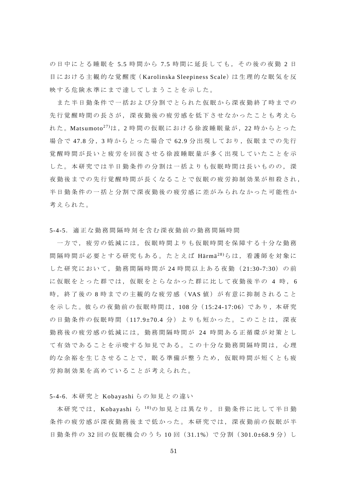の日中にとる睡眠を 5.5 時間から 7.5 時間に延長しても,その後の夜勤 2 日 目における主観的な覚醒度 (Karolinska Sleepiness Scale)は生理的な眠気を反 映する危険水準にまで達してしまうことを示した。

また半日勤条件で一括および分割でとられた仮眠から深夜勤終了時までの 先行覚醒時間の長さが,深夜勤後の疲労感を低下させなかったことも考えら れた。Matsumoto<sup>27)</sup>は, 2 時間の仮眠における徐波睡眠量が, 22 時からとった 場合で 47.8 分, 3 時からとった場合で 62.9 分出現しており, 仮眠までの先行 覚醒時間が長いと疲労を回復させる徐波睡眠量が多く出現していたことを示 した。本研究では半日勤条件の分割は一括よりも仮眠時間は長いものの,深 夜勤後までの先行覚醒時間が長くなることで仮眠の疲労抑制効果が相殺され, 半日勤条件の一括と分割で深夜勤後の疲労感に差がみられなかった可能性か 考えられた。

5-4-5.適正な勤務間隔時刻を含む深夜勤前の勤務間隔時間

一方で,疲労の低減には,仮眠時間よりも仮眠時間を保障する十分な勤務 間隔時間が必要とする研究もある。たとえば Härmä<sup>28)</sup>らは, 看護師を対象に した研究において,勤務間隔時間が 24 時間以上ある夜勤( 21:30-7:30)の前 に仮眠をとった群では, 仮眠をとらなかった群に比して夜勤後半の 4 時, 6 時, 終了後の 8 時までの主観的な疲労感(VAS 値)が有意に抑制されること を示した。彼らの夜勤前の仮眠時間は,108分 (15:24-17:06)であり,本研究 の日勤条件の仮眠時間 (117.9±70.4 分) よりも短かった。このことは, 深夜 勤務後の疲労感の低減には,勤務間隔時間が 24 時間ある正循環が対策とし て有効であることを示唆する知見である。この十分な勤務間隔時間は,心理 的な余裕を生じさせることで,眠る準備が整うため,仮眠時間が短くとも疲 労抑制効果を高めていることが考えられた。

5-4-6. 本研究と Kobayashi らの知見との違い

本研究では, Kobayashi ら 10)の知見とは異なり,日勤条件に比して半日勤 条件の疲労感が深夜勤務後まで低かった。本研究では、深夜勤前の仮眠が半 日勤条件の 32 回の仮眠機会のうち 10 回 (31.1%)で分割 (301.0±68.9 分) し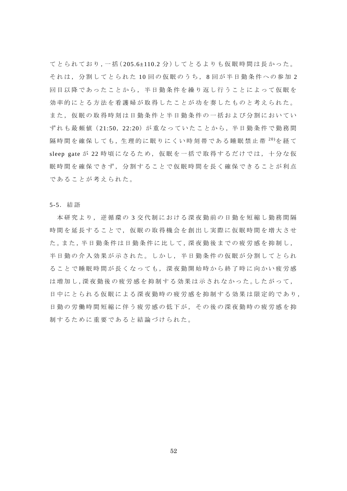てとられており,一括(205.6±110.2分)してとるよりも仮眠時間は長かった。 それは,分割してとられた 10 回の仮眠のうち, 8 回が半日勤条件への参加 2 回目以降であったことから,半日勤条件を繰り返し行うことによって仮眠を 効率的にとる方法を看護婦が取得したことが功を奏したものと考えられた。 また,仮眠の取得時刻は日勤条件と半日勤条件の一括および分割においてい ずれも最頻値 (21:50, 22:20)が重なっていたことから、半日勤条件で勤務間 隔 時 間 を 確 保 し て も, 生 理 的 に 眠 り に く い 時 刻 帯 で あ る 睡 眠 禁 止 帯 <sup>20)</sup>を 経 て sleep gate が 22 時頃になるため, 仮眠を一括で取得するだけでは, 十分な仮 眠時間を確保できず,分割することで仮眠時間を長く確保できることが利点 であることが考えられた。

5-5.結語

本研究より,逆循環の 3 交代制における深夜勤前の日勤を短縮し勤務間隔 時間を延長することで,仮眠の取得機会を創出し実際に仮眠時間を増大させ た。また,半日勤条件は日勤条件に比して,深夜勤後までの疲労感を抑制し, 半日勤の介入効果が示された。しかし,半日勤条件の仮眠が分割してとられ ることで睡眠時間が長くなっても,深夜勤開始時から終了時に向かい疲労感 は増加し,深夜勤後の疲労感を抑制する効果は示されなかった。したがって, 日中にとられる仮眠による深夜勤時の疲労感を抑制する効果は限定的であり, 日勤の労働時間短縮に伴う疲労感の低下が、その後の深夜勤時の疲労感を抑 制するために重要であると結論づけられた。

52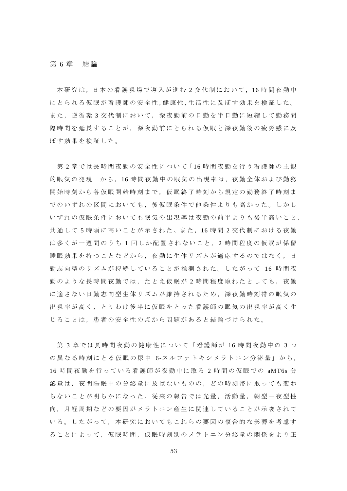# 第 6 章 結論

本研究は,日本の看護現場で導入が進む 2 交代制において,16 時間夜勤中 にとられる仮眠が看護師の安全性,健康性,生活性に及ぼす効果を検証した。 また,逆循環 3 交代制において,深夜勤前の日勤を半日勤に短縮して勤務間 隔時間を延長することが,深夜勤前にとられる仮眠と深夜勤後の疲労感に及 ぼす効果を検証した。

第2章では長時間夜勤の安全性について「16時間夜勤を行う看護師の主観 的眠気の発現」から,16時間夜勤中の眠気の出現率は,夜勤全体および勤務 開始時刻から各仮眠開始時刻まで,仮眠終了時刻から規定の勤務終了時刻ま でのいずれの区間においても,後仮眠条件で他条件よりも高かった。しかし いずれの仮眠条件においても眠気の出現率は夜勤の前半よりも後半高いこと, 共通して 5 時頃に高いことが示された。また,16 時 間 2 交代制における夜勤 は多くが一週間のうち 1 回しか配置されないこと, 2 時間程度の仮眠が係留 睡眠効果を持つことなどから,夜勤に生体リズムが適応するのではなく,日 勤志向型のリズムが持続していることが推測された。したがって 16 時間夜 勤のような長時間夜勤では,たとえ仮眠が 2 時間程度取れたとしても,夜勤 に適さない日勤志向型生体リズムが維持されるため,深夜勤時刻帯の眠気の 出現率が高く,とりわけ後半に仮眠をとった看護師の眠気の出現率が高く生 じることは,患者の安全性の点から問題があると結論づけられた。

第 3 章では長時間夜勤の健康性について「看護師が 16 時間夜勤中の 3 つ の異なる時刻にとる仮眠の尿中 6-スルファトキシメラトニン分泌量」から, 16 時間夜勤を行っている看護師が夜勤中に取る 2 時間の仮眠での aMT6s 分 泌量は,夜間睡眠中の分泌量に及ばないものの,どの時刻帯に取っても変わ らないことが明らかになった。従来の報告では光量,活動量,朝型-夜型性 向,月経周期などの要因がメラトニン産生に関連していることが示唆されて いる。したがって,本研究においてもこれらの要因の複合的な影響を考慮す ることによって,仮眠時間,仮眠時刻別のメラトニン分泌量の関係をより正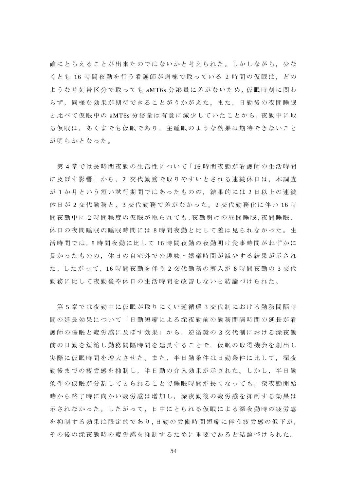確にとらえることが出来たのではないかと考えられた。しかしながら、少な くとも 16 時間夜勤を行う看護師が病棟で取っている 2 時間の仮眠は,どの ような時刻帯区分で取っても aMT6s 分泌量に差がないため, 仮眠時刻に関わ らず,同様な効果が期待できることがうかがえた。また,日勤後の夜間睡眠 と比べて仮眠中の aMT6s 分泌量は有意に減少していたことから, 夜勤中に取 る仮眠は,あくまでも仮眠であり,主睡眠のような効果は期待できないこと が明らかとなった。

第4章では長時間夜勤の生活性について「16時間夜勤が看護師の生活時間 に及ぼす影響」から, 2 交代勤務で取りやすいとされる連続休日は,本調査 が 1 か月という短い試行期間ではあったものの,結果的には 2 日以上の連続 休日が 2 交代勤務と, 3 交代勤務で差がなかった。 2 交代勤務化に伴い 16 時 間 夜 勤 中 に 2 時 間 程 度 の 仮 眠 が 取 ら れ て も, 夜 勤 明 け の 昼 間 睡 眠, 夜 間 睡 眠, 休日の夜間睡眠の睡眠時間には 8 時間夜勤と比して差は見られなかった。生 活時間では,8 時間夜勤に比して 16 時間夜勤の夜勤明け食事時間がわずかに 長かったものの,休日の自宅外での趣味・娯楽時間が減少する結果が示され た。したがって,16 時間夜勤を伴う 2 交代勤務の導入が 8 時間夜勤の 3 交 代 勤務に比して夜勤後や休日の生活時間を改善しないと結論づけられた。

第 5 章では夜勤中に仮眠が取りにくい逆循環 3 交代制における勤務間隔時 間の延長効果について「日勤短縮による深夜勤前の勤務間隔時間の延長が看 護師の睡眠と疲労感に及ぼす効果」から,逆循環の 3 交代制における深夜勤 前の日勤を短縮し勤務間隔時間を延長することで,仮眠の取得機会を創出し 実際に仮眠時間を増大させた。また,半日勤条件は日勤条件に比して,深夜 勤後までの疲労感を抑制し,半日勤の介入効果が示された。しかし,半日勤 条件の仮眠が分割してとられることで睡眠時間が長くなっても,深夜勤開始 時から終了時に向かい疲労感は増加し,深夜勤後の疲労感を抑制する効果は 示されなかった。したがって,日中にとられる仮眠による深夜勤時の疲労感 を抑制する効果は限定的であり,日勤の労働時間短縮に伴う疲労感の低下が, その後の深夜勤時の疲労感を抑制するために重要であると結論づけられた。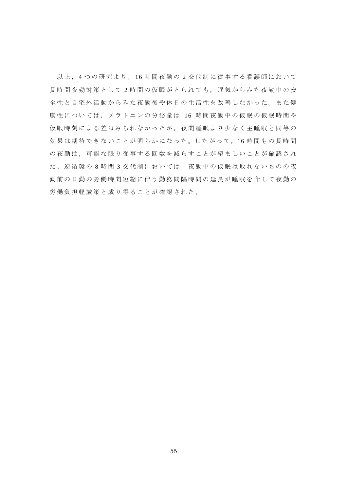以上, 4 つの研究より, 16 時間夜勤の 2 交代制に従事する看護師において 長時間夜勤対策として2時間の仮眠がとられても、眠気からみた夜勤中の安 全性と自宅外活動からみた夜勤後や休日の生活性を改善しなかった。また健 康性については,メラトニンの分泌量は 16 時間夜勤中の仮眠の仮眠時間や 仮眠時刻による差はみられなかったが,夜間睡眠より少なく主睡眠と同等の 効果は期待できないことが明らかになった。したがって,16 時間もの長時間 の夜勤は,可能な限り従事する回数を減らすことが望ましいことが確認され た。逆循環の8時間3交代制においては、夜勤中の仮眠は取れないものの夜 勤前の日勤の労働時間短縮に伴う勤務間隔時間の延長が睡眠を介して夜勤の 労働負担軽減策と成り得ることが確認された。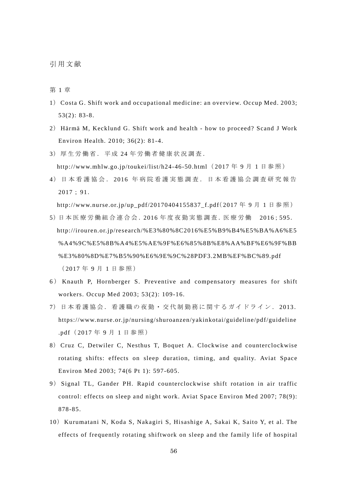引用文献

第 1 章

- 1) Costa G. Shift work and occupational medicine: an overview. Occup Med. 2003; 53(2): 83-8.
- 2) Härmä M, Kecklund G. Shift work and health how to proceed? Scand J Work Environ Health. 2010; 36(2): 81-4.
- 3)厚生労働省.平成 24 年労働者健康状況調査. http://www.mhlw.go.jp/toukei/list/h24-46-50.html (2017 年 9 月 1 日参照)
- 4)日本看護協会. 2016 年病院看護実態調査.日本看護協会調査研究報告 2017; 91.

http://www.nurse.or.jp/up\_pdf/20170404155837\_f.pdf( 2017 年 9 月 1 日参照)

- 5)日 本 医 療 労 働 組 合 連 合 会 .2016 年 度 夜 勤 実 態 調 査 .医 療 労 働 2016;595. http://irouren.or.jp/research/%E3%80%8C2016%E5%B9%B4%E5%BA%A6%E5 %A4%9C%E5%8B%A4%E5%AE%9F%E6%85%8B%E8%AA%BF%E6%9F%BB %E3%80%8D%E7%B5%90%E6%9E%9C%28PDF3.2MB%EF%BC%89.pdf ( 2017 年 9 月 1 日参照)
- 6 ) Knauth P, Hornberger S. Preventive and compensatory measures for shift workers. Occup Med 2003; 53(2): 109-16.
- 7)日本看護協会.看護職の夜勤・交代制勤務に関するガイドライン. 2013. https://www.nurse.or.jp/nursing/shuroanzen/yakinkotai/guideline/pdf/guideline .pdf( 2017 年 9 月 1 日参照)
- 8) Cruz C, Detwiler C, Nesthus T, Boquet A. Clockwise and counterclockwise rotating shifts: effects on sleep duration, timing, and quality. Aviat Space Environ Med 2003; 74(6 Pt 1): 597-605.
- 9) Signal TL, Gander PH. Rapid counterclockwise shift rotation in air traffic control: effects on sleep and night work. Aviat Space Environ Med 2007; 78(9): 878-85.
- 10) Kurumatani N, Koda S, Nakagiri S, Hisashige A, Sakai K, Saito Y, et al. The effects of frequently rotating shiftwork on sleep and the family life of hospital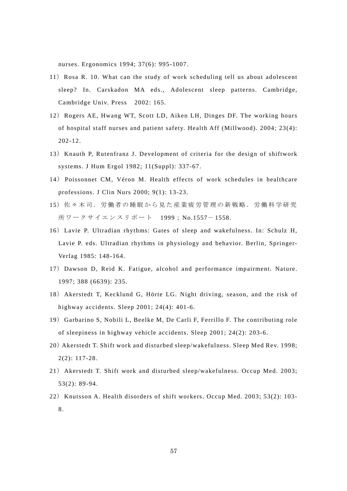nurses. Ergonomics 1994; 37(6): 995-1007.

- 11) Rosa R. 10. What can the study of work scheduling tell us about adolescent sleep? In. Carskadon MA eds., Adolescent sleep patterns. Cambridge, Cambridge Univ. Press 2002: 165.
- 12) Rogers AE, Hwang WT, Scott LD, Aiken LH, Dinges DF. The working hours of hospital staff nurses and patient safety. Health Aff (Millwood). 2004; 23(4): 202-12.
- 13) Knauth P, Rutenfranz J. Development of criteria for the design of shiftwork systems. J Hum Ergol 1982; 11(Suppl): 337-67.
- 14) Poissonnet CM, Véron M. Health effects of work schedules in healthcare professions. J Clin Nurs 2000; 9(1): 13-23.
- 15)佐々木司.労働者の睡眠から見た産業疲労管理の新戦略.労働科学研究 所ワークサイエンスリポート 1999; No.1557- 1558.
- 16) Lavie P. Ultradian rhythms: Gates of sleep and wakefulness. In: Schulz H, Lavie P. eds. Ultradian rhythms in physiology and behavior. Berlin, Springer-Verlag 1985: 148-164.
- 17) Dawson D, Reid K. Fatigue, alcohol and performance impairment. Nature. 1997; 388 (6639): 235.
- 18) Akerstedt T, Kecklund G, Hörte LG. Night driving, season, and the risk of highway accidents. Sleep 2001; 24(4): 401-6.
- 19) Garbarino S, Nobili L, Beelke M, De Carli F, Ferrillo F. The contributing role of sleepiness in highway vehicle accidents. Sleep 2001; 24(2): 203-6.
- 20)Akerstedt T. Shift work and disturbed sleep/wakefulness. Sleep Med Rev. 1998; 2(2): 117-28.
- 21) Akerstedt T. Shift work and disturbed sleep/wakefulness. Occup Med. 2003; 53(2): 89-94.
- 22) Knutsson A. Health disorders of shift workers. Occup Med. 2003; 53(2): 103- 8.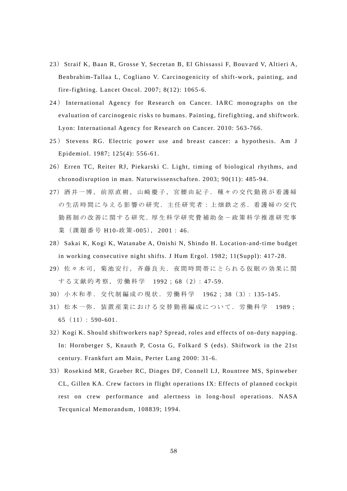- 23) Straif K, Baan R, Grosse Y, Secretan B, El Ghissassi F, Bouvard V, Altieri A, Benbrahim-Tallaa L, Cogliano V. Carcinogenicity of shift-work, painting, and fire-fighting. Lancet Oncol. 2007; 8(12): 1065-6.
- 24 ) International Agency for Research on Cancer. IARC monographs on the evaluation of carcinogenic risks to humans. Painting, firefighting, and shiftwork. Lyon: International Agency for Research on Cancer. 2010: 563-766.
- 25 ) Stevens RG. Electric power use and breast cancer: a hypothesis. Am J Epidemiol. 1987; 125(4): 556-61.
- 26) Erren TC, Reiter RJ, Piekarski C. Light, timing of biological rhythms, and chronodisruption in man. Naturwissenschaften. 2003; 90(11): 485-94.
- 27)酒井一博,前原直樹,山崎慶子,宮腰由紀子.種々の交代勤務が看護婦 の生活時間に与える影響の研究.主任研究者:上畑鉄之丞.看護婦の交代 勤務制の改善に関する研究. 厚生科学研究費補助金-政策科学推進研究事 業(課題番号 H10-政 策 -005), 2001: 46.
- 28) Sakai K, Kogi K, Watanabe A, Onishi N, Shindo H. Location-and-time budget in working consecutive night shifts. J Hum Ergol. 1982; 11(Suppl): 417-28.
- 29)佐々木司,菊池安行,斉藤良夫.夜間時間帯にとられる仮眠の効果に関 する文献的考察, 労働科学 1992; 68 (2): 47-59.
- 30)小木和孝.交代制編成の現状.労働科学 1962; 38( 3): 135-145.
- 31)松本一弥.装置産業における交替勤務編成について.労働科学 1989; 65 $(11): 590-601.$
- 32) Kogi K. Should shiftworkers nap? Spread, roles and effects of on-duty napping. In: Hornbetger S, Knauth P, Costa G, Folkard S (eds). Shiftwork in the 21st century. Frankfurt am Main, Perter Lang 2000: 31-6.
- 33) Rosekind MR, Graeber RC, Dinges DF, Connell LJ, Rountree MS, Spinweber CL, Gillen KA. Crew factors in flight operations IX: Effects of planned cockpit rest on crew performance and alertness in long-houl operations. NASA Tecqunical Memorandum, 108839; 1994.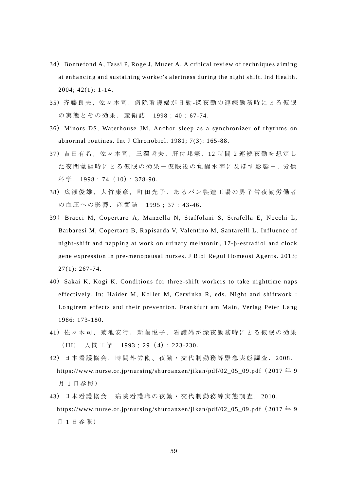- 34) Bonnefond A, Tassi P, Roge J, Muzet A. A critical review of techniques aiming at enhancing and sustaining worker's alertness during the night shift. Ind Health. 2004; 42(1): 1-14.
- 35)斉藤良夫,佐々木司.病院看護婦が日勤-深夜勤の連続勤務時にとる仮眠 の実態とその効果. 産衛誌 1998; 40: 67-74.
- 36) Minors DS, Waterhouse JM. Anchor sleep as a synchronizer of rhythms on abnormal routines. Int J Chronobiol. 1981; 7(3): 165-88.
- 37)吉田有希,佐々木司,三澤哲夫,肝付邦憲.12 時 間 2 連続夜勤を想定し た 夜 間 覚 醒 時 に と る 仮 眠 の 効 果 ー 仮 眠 後 の 覚 醒 水 準 に 及 ぼ す 影 響 ー . 労 働 科学. 1998; 74 ( 10): 378-90.
- 38)広瀬俊雄,大竹康彦,町田光子.あるパン製造工場の男子常夜勤労働者 の血圧への影響.産衛誌 1995; 37: 43-46.
- 39) Bracci M, Copertaro A, Manzella N, Staffolani S, Strafella E, Nocchi L, Barbaresi M, Copertaro B, Rapisarda V, Valentino M, Santarelli L. Influence of night-shift and napping at work on urinary melatonin, 17-β-estradiol and clock gene expression in pre-menopausal nurses. J Biol Regul Homeost Agents. 2013;  $27(1): 267-74.$
- 40) Sakai K, Kogi K. Conditions for three-shift workers to take nighttime naps effectively. In: Haider M, Koller M, Cervinka R, eds. Night and shiftwork : Longtrem effects and their prevention. Frankfurt am Main, Verlag Peter Lang 1986: 173-180.
- 41)佐々木司,菊池安行,新藤悦子.看護婦が深夜勤務時にとる仮眠の効果 (III). 人間工学 1993; 29(4): 223-230.
- 42)日本看護協会.時間外労働、夜勤・交代制勤務等緊急実態調査. 2008. https://www.nurse.or.jp/nursing/shuroanzen/jikan/pdf/02\_05\_09.pdf (2017年9 月 1 日参照)
- 43) 日本看護協会. 病院看護職の夜勤・交代制勤務等実態調査. 2010. https://www.nurse.or.jp/nursing/shuroanzen/jikan/pdf/02\_05\_09.pdf( 2017 年 9 月 1 日参照)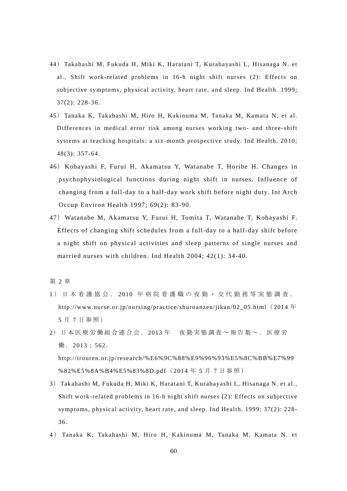- 44) Takahashi M, Fukuda H, Miki K, Haratani T, Kurabayashi L, Hisanaga N. et al., Shift work-related problems in 16-h night shift nurses (2): Effects on subjective symptoms, physical activity, heart rate, and sleep. Ind Health. 1999; 37(2): 228-36.
- 45) Tanaka K, Takahashi M, Hiro H, Kakinuma M, Tanaka M, Kamata N, et al. Differences in medical error risk among nurses working two- and three-shift systems at teaching hospitals: a six-month prospective study. Ind Health. 2010; 48(3): 357-64.
- 46) Kobayashi F, Furui H, Akamatsu Y, Watanabe T, Horibe H. Changes in psychophysiological functions during night shift in nurses. Influence of changing from a full-day to a half-day work shift before night duty. Int Arch Occup Environ Health 1997; 69(2): 83-90.
- 47) Watanabe M, Akamatsu Y, Furui H, Tomita T, Watanabe T, Kobayashi F. Effects of changing shift schedules from a full-day to a half-day shift before a night shift on physical activities and sleep patterns of single nurses and married nurses with children. Ind Health 2004; 42(1): 34-40.

第 2 章

- 1 )日本看護協会. 2010 年病院看護職の夜勤・交代勤務等実態調査. http://www.nurse.or.jp/nursing/practice/shuroanzen/jikan/02\_05.html (2014年 5 月 7 日参照)
- 2)日本医療労働組合連合会. 2013 年 夜勤実態調査~報告集~.医療労 働. 2013; 562. http://irouren.or.jp/research/%E6%9C%88%E9%96%93%E5%8C%BB%E7%99 %82%E5%8A%B4%E5%83%8D.pdf (2014年5月7日参照)
- 3) Takahashi M, Fukuda H, Miki K, Haratani T, Kurabayashi L, Hisanaga N. et al., Shift work-related problems in 16-h night shift nurses (2): Effects on subjective symptoms, physical activity, heart rate, and sleep. Ind Health. 1999; 37(2): 228- 36.
- 4 ) Tanaka K, Takahashi M, Hiro H, Kakinuma M, Tanaka M, Kamata N. et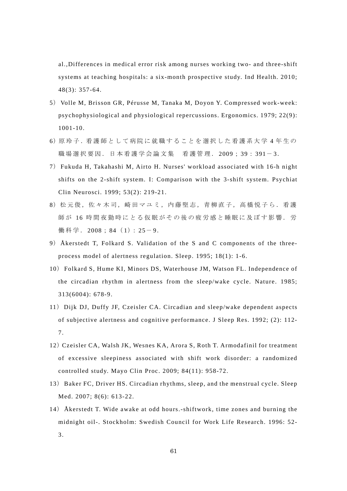al.,Differences in medical error risk among nurses working two- and three-shift systems at teaching hospitals: a six-month prospective study. Ind Health. 2010; 48(3): 357-64.

- 5) Volle M, Brisson GR, Pérusse M, Tanaka M, Doyon Y. Compressed work-week: psychophysiological and physiological repercussions. Ergonomics. 1979; 22(9): 1001-10.
- 6) 原玲子. 看護師として病院に就職することを選択した看護系大学4年生の 職場選択要因. 日本看護学会論文集 看護管理. 2009: 39: 391-3.
- 7) Fukuda H, Takahashi M, Airto H. Nurses' workload associated with 16-h night shifts on the 2-shift system. I: Comparison with the 3-shift system. Psychiat Clin Neurosci. 1999; 53(2): 219-21.
- 8)松元俊,佐々木司,崎田マユミ,内藤堅志,青柳直子,高橋悦子ら.看護 師が 16 時間夜勤時にとる仮眠がその後の疲労感と睡眠に及ぼす影響. 労 働科学. 2008; 84 (1): 25-9.
- 9) Åkerstedt T, Folkard S. Validation of the S and C components of the threeprocess model of alertness regulation. Sleep. 1995; 18(1): 1-6.
- 10) Folkard S, Hume KI, Minors DS, Waterhouse JM, Watson FL. Independence of the circadian rhythm in alertness from the sleep/wake cycle. Nature. 1985; 313(6004): 678-9.
- 11) Dijk DJ, Duffy JF, Czeisler CA. Circadian and sleep/wake dependent aspects of subjective alertness and cognitive performance. J Sleep Res. 1992; (2): 112- 7.
- 12)Czeisler CA, Walsh JK, Wesnes KA, Arora S, Roth T. Armodafinil for treatment of excessive sleepiness associated with shift work disorder: a randomized controlled study. Mayo Clin Proc. 2009; 84(11): 958-72.
- 13) Baker FC, Driver HS. Circadian rhythms, sleep, and the menstrual cycle. Sleep Med. 2007; 8(6): 613-22.
- 14) Åkerstedt T. Wide awake at odd hours.-shiftwork, time zones and burning the midnight oil-. Stockholm: Swedish Council for Work Life Research. 1996: 52- 3.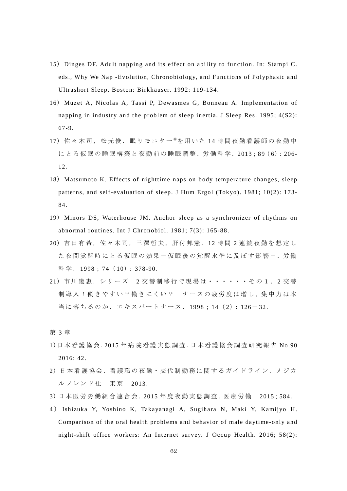- 15) Dinges DF. Adult napping and its effect on ability to function. In: Stampi C. eds., Why We Nap -Evolution, Chronobiology, and Functions of Polyphasic and Ultrashort Sleep. Boston: Birkhäuser. 1992: 119-134.
- 16) Muzet A, Nicolas A, Tassi P, Dewasmes G, Bonneau A. Implementation of napping in industry and the problem of sleep inertia. J Sleep Res. 1995; 4(S2): 67-9.
- 17) 佐々木司, 松元俊. 眠りモニター®を用いた 14 時間夜勤看護師の夜勤中 にとる仮眠の睡眠構築と夜勤前の睡眠調整. 労働科学. 2013:89 (6): 206-12.
- 18) Matsumoto K. Effects of nighttime naps on body temperature changes, sleep patterns, and self-evaluation of sleep. J Hum Ergol (Tokyo). 1981; 10(2): 173- 84.
- 19) Minors DS, Waterhouse JM. Anchor sleep as a synchronizer of rhythms on abnormal routines. Int J Chronobiol. 1981; 7(3): 165-88.
- 20)吉田有希,佐々木司,三澤哲夫,肝付邦憲.12 時 間 2 連続夜勤を想定し た 夜 間 覚 醒 時 に と る 仮 眠 の 効 果 ー 仮 眠 後 の 覚 醒 水 準 に 及 ぼ す 影 響 ー . 労 働 科学. 1998; 74 ( 10): 378-90.
- 21) 市川幾恵. シリーズ 2 交替制移行で現場は・・・・・その1.2 交替 制導入!働きやすい?働きにくい? ナースの疲労度は増し,集中力は本 当に落ちるのか. エキスパートナース. 1998; 14 (2): 126-32.

第 3 章

- 1)日本看護協会.2015 年病院看護実態調査.日本看護協会調査研究報告 No.90 2016: 42.
- 2)日本看護協会.看護職の夜勤・交代制勤務に関するガイドライン.メジカ ルフレンド社 東京 2013.
- 3)日 本 医 労 労 働 組 合 連 合 会 .2015 年 度 夜 勤 実 態 調 査 .医 療 労 働 2015;584.
- 4 ) Ishizuka Y, Yoshino K, Takayanagi A, Sugihara N, Maki Y, Kamijyo H. Comparison of the oral health problems and behavior of male daytime-only and night-shift office workers: An Internet survey. J Occup Health. 2016; 58(2):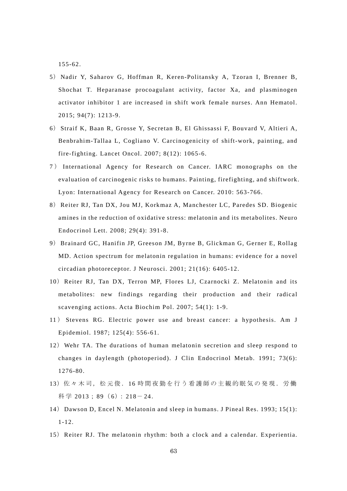155-62.

- 5) Nadir Y, Saharov G, Hoffman R, Keren-Politansky A, Tzoran I, Brenner B, Shochat T. Heparanase procoagulant activity, factor Xa, and plasminogen activator inhibitor 1 are increased in shift work female nurses. Ann Hematol. 2015; 94(7): 1213-9.
- 6) Straif K, Baan R, Grosse Y, Secretan B, El Ghissassi F, Bouvard V, Altieri A, Benbrahim-Tallaa L, Cogliano V. Carcinogenicity of shift-work, painting, and fire-fighting. Lancet Oncol. 2007; 8(12): 1065-6.
- 7 ) International Agency for Research on Cancer. IARC monographs on the evaluation of carcinogenic risks to humans. Painting, firefighting, and shiftwork. Lyon: International Agency for Research on Cancer. 2010: 563-766.
- 8) Reiter RJ, Tan DX, Jou MJ, Korkmaz A, Manchester LC, Paredes SD. Biogenic amines in the reduction of oxidative stress: melatonin and its metabolites. Neuro Endocrinol Lett. 2008; 29(4): 391-8.
- 9) Brainard GC, Hanifin JP, Greeson JM, Byrne B, Glickman G, Gerner E, Rollag MD. Action spectrum for melatonin regulation in humans: evidence for a novel circadian photoreceptor. J Neurosci. 2001; 21(16): 6405-12.
- 10) Reiter RJ, Tan DX, Terron MP, Flores LJ, Czarnocki Z. Melatonin and its metabolites: new findings regarding their production and their radical scavenging actions. Acta Biochim Pol. 2007; 54(1): 1-9.
- 11 ) Stevens RG. Electric power use and breast cancer: a hypothesis. Am J Epidemiol. 1987; 125(4): 556-61.
- 12) Wehr TA. The durations of human melatonin secretion and sleep respond to changes in daylength (photoperiod). J Clin Endocrinol Metab. 1991; 73(6): 1276-80.
- 13)佐々木司,松元俊.16 時間夜勤を行う看護師の主観的眠気の発現.労働 科学 2013: 89 (6): 218-24.
- 14) Dawson D, Encel N. Melatonin and sleep in humans. J Pineal Res. 1993; 15(1): 1-12.
- 15) Reiter RJ. The melatonin rhythm: both a clock and a calendar. Experientia.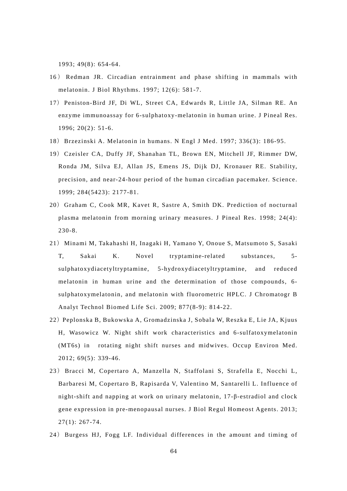1993; 49(8): 654-64.

- 16 ) Redman JR. Circadian entrainment and phase shifting in mammals with melatonin. J Biol Rhythms. 1997; 12(6): 581-7.
- 17) Peniston-Bird JF, Di WL, Street CA, Edwards R, Little JA, Silman RE. An enzyme immunoassay for 6-sulphatoxy-melatonin in human urine. J Pineal Res. 1996; 20(2): 51-6.
- 18) Brzezinski A. Melatonin in humans. N Engl J Med. 1997; 336(3): 186-95.
- 19) Czeisler CA, Duffy JF, Shanahan TL, Brown EN, Mitchell JF, Rimmer DW, Ronda JM, Silva EJ, Allan JS, Emens JS, Dijk DJ, Kronauer RE. Stability, precision, and near-24-hour period of the human circadian pacemaker. Science. 1999; 284(5423): 2177-81.
- 20) Graham C, Cook MR, Kavet R, Sastre A, Smith DK. Prediction of nocturnal plasma melatonin from morning urinary measures. J Pineal Res. 1998; 24(4): 230-8.
- 21) Minami M, Takahashi H, Inagaki H, Yamano Y, Onoue S, Matsumoto S, Sasaki T, Sakai K. Novel tryptamine-related substances, 5 sulphatoxydiacetyltryptamine, 5-hydroxydiacetyltryptamine, and reduced melatonin in human urine and the determination of those compounds, 6 sulphatoxymelatonin, and melatonin with fluorometric HPLC. J Chromatogr B Analyt Technol Biomed Life Sci. 2009; 877(8-9): 814-22.
- 22) Peplonska B, Bukowska A, Gromadzinska J, Sobala W, Reszka E, Lie JA, Kjuus H, Wasowicz W. Night shift work characteristics and 6-sulfatoxymelatonin (MT6s) in rotating night shift nurses and midwives. Occup Environ Med. 2012; 69(5): 339-46.
- 23) Bracci M, Copertaro A, Manzella N, Staffolani S, Strafella E, Nocchi L, Barbaresi M, Copertaro B, Rapisarda V, Valentino M, Santarelli L. Influence of night-shift and napping at work on urinary melatonin, 17-β-estradiol and clock gene expression in pre-menopausal nurses. J Biol Regul Homeost Agents. 2013; 27(1): 267-74.
- 24) Burgess HJ, Fogg LF. Individual differences in the amount and timing of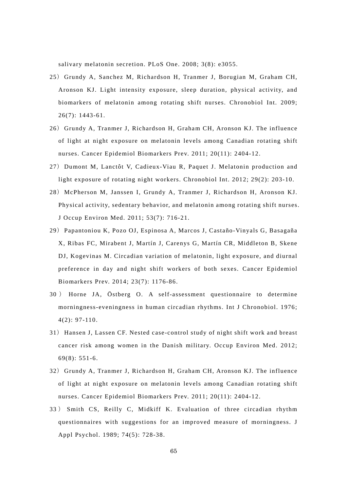salivary melatonin secretion. PLoS One. 2008; 3(8): e3055.

- 25) Grundy A, Sanchez M, Richardson H, Tranmer J, Borugian M, Graham CH, Aronson KJ. Light intensity exposure, sleep duration, physical activity, and biomarkers of melatonin among rotating shift nurses. Chronobiol Int. 2009; 26(7): 1443-61.
- 26) Grundy A, Tranmer J, Richardson H, Graham CH, Aronson KJ. The influence of light at night exposure on melatonin levels among Canadian rotating shift nurses. Cancer Epidemiol Biomarkers Prev. 2011; 20(11): 2404-12.
- 27) Dumont M, Lanctôt V, Cadieux-Viau R, Paquet J. Melatonin production and light exposure of rotating night workers. Chronobiol Int. 2012; 29(2): 203-10.
- 28) McPherson M, Janssen I, Grundy A, Tranmer J, Richardson H, Aronson KJ. Physical activity, sedentary behavior, and melatonin among rotating shift nurses. J Occup Environ Med. 2011; 53(7): 716-21.
- 29) Papantoniou K, Pozo OJ, Espinosa A, Marcos J, Castaño-Vinyals G, Basagaña X, Ribas FC, Mirabent J, Martín J, Carenys G, Martín CR, Middleton B, Skene DJ, Kogevinas M. Circadian variation of melatonin, light exposure, and diurnal preference in day and night shift workers of both sexes. Cancer Epidemiol Biomarkers Prev. 2014; 23(7): 1176-86.
- 30 ) Horne JA, Östberg O. A self-assessment questionnaire to determine morningness-eveningness in human circadian rhythms. Int J Chronobiol. 1976; 4(2): 97-110.
- 31) Hansen J, Lassen CF. Nested case-control study of night shift work and breast cancer risk among women in the Danish military. Occup Environ Med. 2012; 69(8): 551-6.
- 32) Grundy A, Tranmer J, Richardson H, Graham CH, Aronson KJ. The influence of light at night exposure on melatonin levels among Canadian rotating shift nurses. Cancer Epidemiol Biomarkers Prev. 2011; 20(11): 2404-12.
- 33 ) Smith CS, Reilly C, Midkiff K. Evaluation of three circadian rhythm questionnaires with suggestions for an improved measure of morningness. J Appl Psychol. 1989; 74(5): 728-38.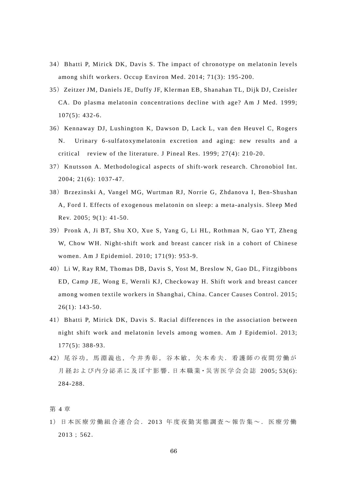- 34) Bhatti P, Mirick DK, Davis S. The impact of chronotype on melatonin levels among shift workers. Occup Environ Med. 2014; 71(3): 195-200.
- 35) Zeitzer JM, Daniels JE, Duffy JF, Klerman EB, Shanahan TL, Dijk DJ, Czeisler CA. Do plasma melatonin concentrations decline with age? Am J Med. 1999; 107(5): 432-6.
- 36) Kennaway DJ, Lushington K, Dawson D, Lack L, van den Heuvel C, Rogers N. Urinary 6-sulfatoxymelatonin excretion and aging: new results and a critical review of the literature. J Pineal Res. 1999; 27(4): 210-20.
- 37) Knutsson A. Methodological aspects of shift-work research. Chronobiol Int. 2004; 21(6): 1037-47.
- 38) Brzezinski A, Vangel MG, Wurtman RJ, Norrie G, Zhdanova I, Ben-Shushan A, Ford I. Effects of exogenous melatonin on sleep: a meta-analysis. Sleep Med Rev. 2005; 9(1): 41-50.
- 39) Pronk A, Ji BT, Shu XO, Xue S, Yang G, Li HL, Rothman N, Gao YT, Zheng W, Chow WH. Night-shift work and breast cancer risk in a cohort of Chinese women. Am J Epidemiol. 2010; 171(9): 953-9.
- 40) Li W, Ray RM, Thomas DB, Davis S, Yost M, Breslow N, Gao DL, Fitzgibbons ED, Camp JE, Wong E, Wernli KJ, Checkoway H. Shift work and breast cancer among women textile workers in Shanghai, China. Cancer Causes Control. 2015;  $26(1): 143-50.$
- 41) Bhatti P, Mirick DK, Davis S. Racial differences in the association between night shift work and melatonin levels among women. Am J Epidemiol. 2013; 177(5): 388-93.
- 42)尾谷功,馬淵義也,今井秀彰,谷本敏,矢本希夫.看護師の夜間労働が 月経および内分泌系に及ぼす影響.日本職業·災害医学会会誌 2005;53(6): 284-288.

第 4 章

1)日本医療労働組合連合会. 2013 年度夜勤実態調査~報告集~.医療労働 2013; 562.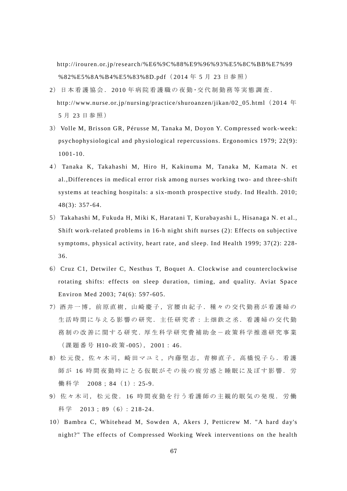http://irouren.or.jp/research/%E6%9C%88%E9%96%93%E5%8C%BB%E7%99 %82%E5%8A%B4%E5%83%8D.pdf (2014年5月23日参照)

- 2)日本看護協会. 2010 年病院看護職の夜勤・交代制勤務等実態調査. http://www.nurse.or.jp/nursing/practice/shuroanzen/jikan/02\_05.html (2014 年 5 月 23 日参照)
- 3) Volle M, Brisson GR, Pérusse M, Tanaka M, Doyon Y. Compressed work-week: psychophysiological and physiological repercussions. Ergonomics 1979; 22(9): 1001-10.
- 4 ) Tanaka K, Takahashi M, Hiro H, Kakinuma M, Tanaka M, Kamata N. et al.,Differences in medical error risk among nurses working two- and three-shift systems at teaching hospitals: a six-month prospective study. Ind Health. 2010; 48(3): 357-64.
- 5) Takahashi M, Fukuda H, Miki K, Haratani T, Kurabayashi L, Hisanaga N. et al., Shift work-related problems in 16-h night shift nurses (2): Effects on subjective symptoms, physical activity, heart rate, and sleep. Ind Health 1999; 37(2): 228- 36.
- 6) Cruz C1, Detwiler C, Nesthus T, Boquet A. Clockwise and counterclockwise rotating shifts: effects on sleep duration, timing, and quality. Aviat Space Environ Med 2003; 74(6): 597-605.
- 7)酒井一博,前原直樹,山崎慶子,宮腰由紀子.種々の交代勤務が看護婦の 生活時間に与える影響の研究.主任研究者:上畑鉄之丞.看護婦の交代勤 務制 の 改 善 に 関 す る 研 究. 厚 生 科 学 研 究 費 補 助 金 ー 政 策 科 学 推 進 研 究 事 業 (課題番号 H10-政 策 -005), 2001: 46.
- 8)松元俊,佐々木司,崎田マユミ,内藤堅志,青柳直子,高橋悦子ら.看護 師が 16 時間夜勤時にとる仮眠がその後の疲労感と睡眠に及ぼす影響. 労 働科学 2008; 84 (1): 25-9.
- 9)佐々木司,松元俊. 16 時間夜勤を行う看護師の主観的眠気の発現.労働 科学 2013; 89 (6): 218-24.
- 10) Bambra C, Whitehead M, Sowden A, Akers J, Petticrew M. "A hard day's night?" The effects of Compressed Working Week interventions on the health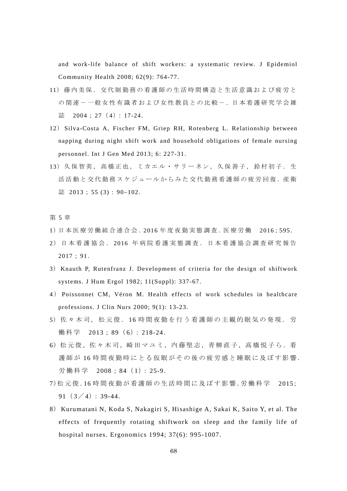and work-life balance of shift workers: a systematic review. J Epidemiol Community Health 2008; 62(9): 764-77.

- 11)藤内美保.交代制勤務の看護師の生活時間構造と生活意識および疲労と の関連--微女性有識者および女性教員との比較-.日本看護研究学会雑 誌 2004; 27 (4): 17-24.
- 12) Silva-Costa A, Fischer FM, Griep RH, Rotenberg L. Relationship between napping during night shift work and household obligations of female nursing personnel. Int J Gen Med 2013; 6: 227-31.
- 13) 久保智英, 高橋正也, ミカエル・サリーネン, 久保善子, 鈴村初子. 生 活活動と交代勤務スケジュールからみた交代勤務看護師の疲労回復. 産衛 誌 2013; 55 (3): 90-102.

## 第 5 章

- 1)日 本 医 療 労 働 組 合 連 合 会 .2016 年 度 夜 勤 実 態 調 査 .医 療 労 働 2016;595.
- 2)日本看護協会. 2016 年病院看護実態調査.日本看護協会調査研究報告 2017; 91.
- 3) Knauth P, Rutenfranz J. Development of criteria for the design of shiftwork systems. J Hum Ergol 1982; 11(Suppl): 337-67.
- 4 ) Poissonnet CM, Véron M. Health effects of work schedules in healthcare professions. J Clin Nurs 2000; 9(1): 13-23.
- 5) 佐々木司,松元俊. 16 時間夜勤を行う看護師の主観的眠気の発現. 労 働科学 2013; 89( 6): 218-24.
- 6)松元俊,佐々木司,崎田マユミ,内藤堅志,青柳直子,高橋悦子ら.看 護師が 16 時間夜勤時にとる仮眠がその後の疲労感と睡眠に及ぼす影響. 労働科学 2008; 84( 1): 25-9.
- 7)松元俊.16 時 間 夜 勤 が 看 護 師 の 生 活 時 間 に 及 ぼ す 影 響 .労 働 科 学 2015;  $91(3/4): 39-44.$
- 8) Kurumatani N, Koda S, Nakagiri S, Hisashige A, Sakai K, Saito Y, et al. The effects of frequently rotating shiftwork on sleep and the family life of hospital nurses. Ergonomics 1994; 37(6): 995-1007.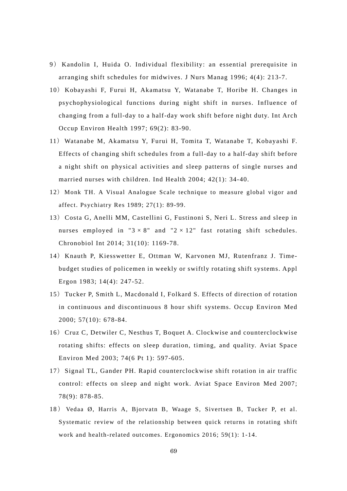- 9) Kandolin I, Huida O. Individual flexibility: an essential prerequisite in arranging shift schedules for midwives. J Nurs Manag 1996; 4(4): 213-7.
- 10) Kobayashi F, Furui H, Akamatsu Y, Watanabe T, Horibe H. Changes in psychophysiological functions during night shift in nurses. Influence of changing from a full-day to a half-day work shift before night duty. Int Arch Occup Environ Health 1997; 69(2): 83-90.
- 11) Watanabe M, Akamatsu Y, Furui H, Tomita T, Watanabe T, Kobayashi F. Effects of changing shift schedules from a full-day to a half-day shift before a night shift on physical activities and sleep patterns of single nurses and married nurses with children. Ind Health 2004; 42(1): 34-40.
- 12) Monk TH. A Visual Analogue Scale technique to measure global vigor and affect. Psychiatry Res 1989; 27(1): 89-99.
- 13) Costa G, Anelli MM, Castellini G, Fustinoni S, Neri L. Stress and sleep in nurses employed in " $3 \times 8$ " and " $2 \times 12$ " fast rotating shift schedules. Chronobiol Int 2014; 31(10): 1169-78.
- 14) Knauth P, Kiesswetter E, Ottman W, Karvonen MJ, Rutenfranz J. Timebudget studies of policemen in weekly or swiftly rotating shift systems. Appl Ergon 1983; 14(4): 247-52.
- 15) Tucker P, Smith L, Macdonald I, Folkard S. Effects of direction of rotation in continuous and discontinuous 8 hour shift systems. Occup Environ Med 2000; 57(10): 678-84.
- 16) Cruz C, Detwiler C, Nesthus T, Boquet A. Clockwise and counterclockwise rotating shifts: effects on sleep duration, timing, and quality. Aviat Space Environ Med 2003; 74(6 Pt 1): 597-605.
- 17) Signal TL, Gander PH. Rapid counterclockwise shift rotation in air traffic control: effects on sleep and night work. Aviat Space Environ Med 2007; 78(9): 878-85.
- 18 ) Vedaa Ø, Harris A, Bjorvatn B, Waage S, Sivertsen B, Tucker P, et al. Systematic review of the relationship between quick returns in rotating shift work and health-related outcomes. Ergonomics 2016; 59(1): 1-14.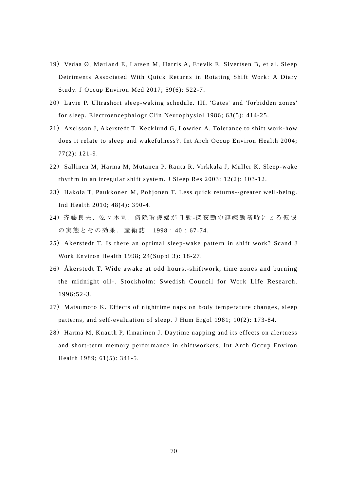- 19) Vedaa Ø, Mørland E, Larsen M, Harris A, Erevik E, Sivertsen B, et al. Sleep Detriments Associated With Quick Returns in Rotating Shift Work: A Diary Study. J Occup Environ Med 2017; 59(6): 522-7.
- 20) Lavie P. Ultrashort sleep-waking schedule. III. 'Gates' and 'forbidden zones' for sleep. Electroencephalogr Clin Neurophysiol 1986; 63(5): 414-25.
- 21) Axelsson J, Akerstedt T, Kecklund G, Lowden A. Tolerance to shift work-how does it relate to sleep and wakefulness?. Int Arch Occup Environ Health 2004; 77(2): 121-9.
- 22) Sallinen M, Härmä M, Mutanen P, Ranta R, Virkkala J, Müller K. Sleep-wake rhythm in an irregular shift system. J Sleep Res 2003; 12(2): 103-12.
- 23) Hakola T, Paukkonen M, Pohjonen T. Less quick returns--greater well-being. Ind Health 2010; 48(4): 390-4.
- 24)斉藤良夫,佐々木司.病院看護婦が日勤-深夜勤の連続勤務時にとる仮眠 の実態とその効果.産衛誌 1998; 40: 67-74.
- 25) Åkerstedt T. Is there an optimal sleep-wake pattern in shift work? Scand J Work Environ Health 1998; 24(Suppl 3): 18-27.
- 26) Åkerstedt T. Wide awake at odd hours.-shiftwork, time zones and burning the midnight oil-. Stockholm: Swedish Council for Work Life Research. 1996:52-3.
- 27) Matsumoto K. Effects of nighttime naps on body temperature changes, sleep patterns, and self-evaluation of sleep. J Hum Ergol 1981; 10(2): 173-84.
- 28) Härmä M, Knauth P, Ilmarinen J. Daytime napping and its effects on alertness and short-term memory performance in shiftworkers. Int Arch Occup Environ Health 1989; 61(5): 341-5.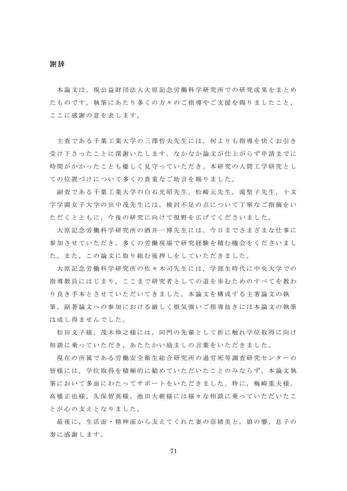謝辞

本論文は、現公益財団法人大原記念労働科学研究所での研究成果をまとめ たものです。執筆にあたり多くの方々のご指導やご支援を賜りましたこと, ここに感謝の意を表します。

主査である千葉工業大学の三澤哲夫先生には,何よりも指導を快くお引き 受け下さったことに深謝いたします。なかなか論文が仕上がらず申請までに 時間がかかったことも優しく見守っていただき,本研究の人間工学研究とし ての位置づけについて多くの貴重なご助言を賜りました。

副査である千葉工業大学の白石光昭先生,松崎元先生,滝聖子先生,十文 字学園女子大学の田中茂先生には,検討不足の点について丁寧なご指摘をい ただくとともに,今後の研究に向けて視野を広げてくださいました。

大原記念労働科学研究所の酒井一博先生には,今日までさまざまな仕事に 参加させていただき,多くの労働現場で研究経験を積む機会をくださいまし た。また,この論文に取り組む後押しをしていただきました。

 大原記念労働科学研究所の佐々木司先生には,学部生時代に中央大学での 指導教員にはじまり,ここまで研究者としての道を歩むためのすべてを教わ り良き手本とさせていただいてきました。本論文を構成する主著論文の執 筆, 副著論文への参加における厳しく根気強いご指導抜きには本論文の執筆 は成し得ませんでした。

 松田文子様,茂木伸之様には,同門の先輩として折に触れ学位取得に向け 相談に乗っていただき,あたたかい励ましの言葉をいただきました。

現在の所属である労働安全衛生総合研究所の過労死等調査研究センターの 皆様には,学位取得を積極的に勧めていただいたことのみならず,本論文執 筆において多面にわたってサポートをいただきました。特に,梅崎重夫様, 高橋正也様,久保智英様,池田大樹様には様々な相談に乗っていただいたこ とが心の支えとなりました。

最後に,生活面・精神面から支えてくれた妻の奈緒美と,娘の響,息子の 奏に感謝します。

71